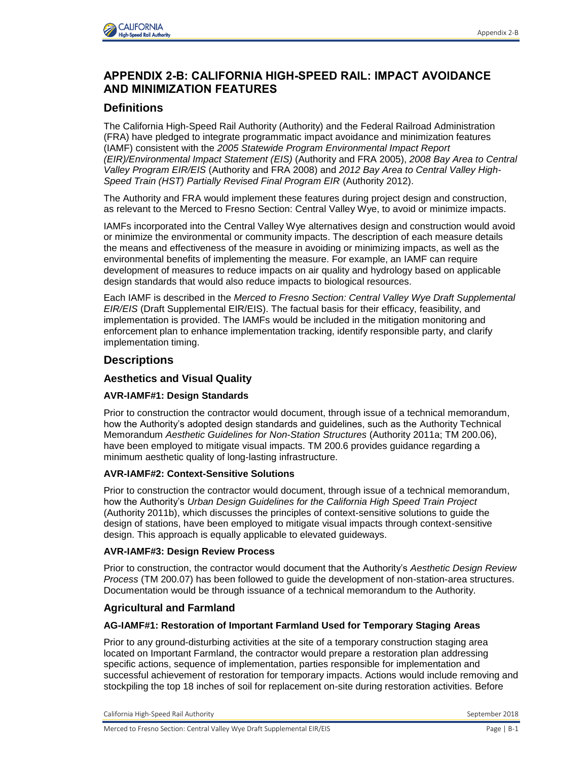

# **APPENDIX 2-B: CALIFORNIA HIGH-SPEED RAIL: IMPACT AVOIDANCE AND MINIMIZATION FEATURES**

# **Definitions**

The California High-Speed Rail Authority (Authority) and the Federal Railroad Administration (FRA) have pledged to integrate programmatic impact avoidance and minimization features (IAMF) consistent with the *2005 Statewide Program Environmental Impact Report (EIR)/Environmental Impact Statement (EIS)* (Authority and FRA 2005), *2008 Bay Area to Central Valley Program EIR/EIS* (Authority and FRA 2008) and *2012 Bay Area to Central Valley High-Speed Train (HST) Partially Revised Final Program EIR* (Authority 2012).

The Authority and FRA would implement these features during project design and construction, as relevant to the Merced to Fresno Section: Central Valley Wye, to avoid or minimize impacts.

IAMFs incorporated into the Central Valley Wye alternatives design and construction would avoid or minimize the environmental or community impacts. The description of each measure details the means and effectiveness of the measure in avoiding or minimizing impacts, as well as the environmental benefits of implementing the measure. For example, an IAMF can require development of measures to reduce impacts on air quality and hydrology based on applicable design standards that would also reduce impacts to biological resources.

Each IAMF is described in the *Merced to Fresno Section: Central Valley Wye Draft Supplemental EIR/EIS* (Draft Supplemental EIR/EIS). The factual basis for their efficacy, feasibility, and implementation is provided. The IAMFs would be included in the mitigation monitoring and enforcement plan to enhance implementation tracking, identify responsible party, and clarify implementation timing.

# **Descriptions**

## **Aesthetics and Visual Quality**

### **AVR-IAMF#1: Design Standards**

Prior to construction the contractor would document, through issue of a technical memorandum, how the Authority's adopted design standards and guidelines, such as the Authority Technical Memorandum *Aesthetic Guidelines for Non-Station Structures* (Authority 2011a; TM 200.06), have been employed to mitigate visual impacts. TM 200.6 provides guidance regarding a minimum aesthetic quality of long-lasting infrastructure.

### **AVR-IAMF#2: Context-Sensitive Solutions**

Prior to construction the contractor would document, through issue of a technical memorandum, how the Authority's *Urban Design Guidelines for the California High Speed Train Project* (Authority 2011b), which discusses the principles of context-sensitive solutions to guide the design of stations, have been employed to mitigate visual impacts through context-sensitive design. This approach is equally applicable to elevated guideways.

### **AVR-IAMF#3: Design Review Process**

Prior to construction, the contractor would document that the Authority's *Aesthetic Design Review Process* (TM 200.07) has been followed to guide the development of non-station-area structures. Documentation would be through issuance of a technical memorandum to the Authority.

### **Agricultural and Farmland**

### **AG-IAMF#1: Restoration of Important Farmland Used for Temporary Staging Areas**

Prior to any ground-disturbing activities at the site of a temporary construction staging area located on Important Farmland, the contractor would prepare a restoration plan addressing specific actions, sequence of implementation, parties responsible for implementation and successful achievement of restoration for temporary impacts. Actions would include removing and stockpiling the top 18 inches of soil for replacement on-site during restoration activities. Before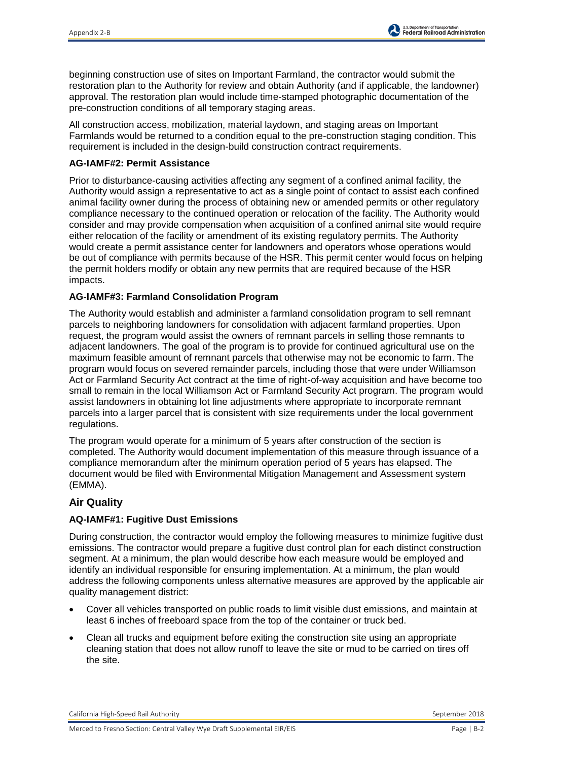beginning construction use of sites on Important Farmland, the contractor would submit the restoration plan to the Authority for review and obtain Authority (and if applicable, the landowner) approval. The restoration plan would include time-stamped photographic documentation of the pre-construction conditions of all temporary staging areas.

All construction access, mobilization, material laydown, and staging areas on Important Farmlands would be returned to a condition equal to the pre-construction staging condition. This requirement is included in the design-build construction contract requirements.

## **AG-IAMF#2: Permit Assistance**

Prior to disturbance-causing activities affecting any segment of a confined animal facility, the Authority would assign a representative to act as a single point of contact to assist each confined animal facility owner during the process of obtaining new or amended permits or other regulatory compliance necessary to the continued operation or relocation of the facility. The Authority would consider and may provide compensation when acquisition of a confined animal site would require either relocation of the facility or amendment of its existing regulatory permits. The Authority would create a permit assistance center for landowners and operators whose operations would be out of compliance with permits because of the HSR. This permit center would focus on helping the permit holders modify or obtain any new permits that are required because of the HSR impacts.

# **AG-IAMF#3: Farmland Consolidation Program**

The Authority would establish and administer a farmland consolidation program to sell remnant parcels to neighboring landowners for consolidation with adjacent farmland properties. Upon request, the program would assist the owners of remnant parcels in selling those remnants to adjacent landowners. The goal of the program is to provide for continued agricultural use on the maximum feasible amount of remnant parcels that otherwise may not be economic to farm. The program would focus on severed remainder parcels, including those that were under Williamson Act or Farmland Security Act contract at the time of right-of-way acquisition and have become too small to remain in the local Williamson Act or Farmland Security Act program. The program would assist landowners in obtaining lot line adjustments where appropriate to incorporate remnant parcels into a larger parcel that is consistent with size requirements under the local government regulations.

The program would operate for a minimum of 5 years after construction of the section is completed. The Authority would document implementation of this measure through issuance of a compliance memorandum after the minimum operation period of 5 years has elapsed. The document would be filed with Environmental Mitigation Management and Assessment system (EMMA).

# **Air Quality**

# **AQ-IAMF#1: Fugitive Dust Emissions**

During construction, the contractor would employ the following measures to minimize fugitive dust emissions. The contractor would prepare a fugitive dust control plan for each distinct construction segment. At a minimum, the plan would describe how each measure would be employed and identify an individual responsible for ensuring implementation. At a minimum, the plan would address the following components unless alternative measures are approved by the applicable air quality management district:

- Cover all vehicles transported on public roads to limit visible dust emissions, and maintain at least 6 inches of freeboard space from the top of the container or truck bed.
- Clean all trucks and equipment before exiting the construction site using an appropriate cleaning station that does not allow runoff to leave the site or mud to be carried on tires off the site.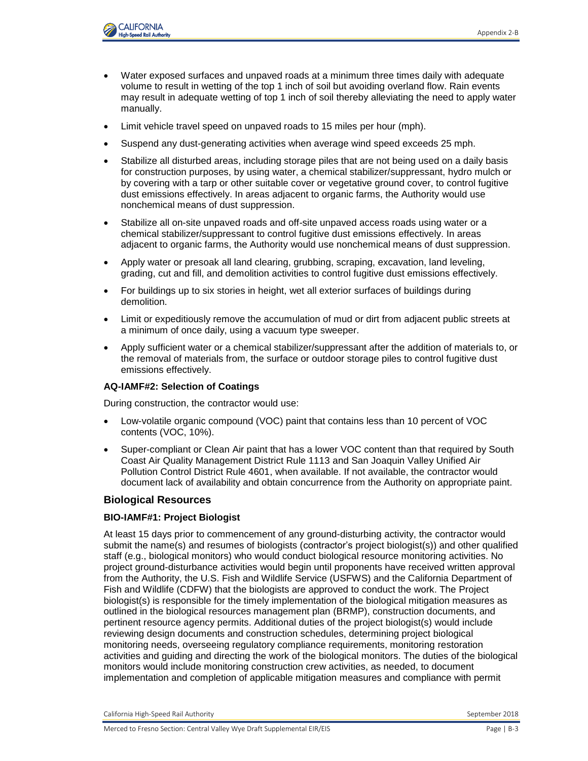

- Water exposed surfaces and unpaved roads at a minimum three times daily with adequate volume to result in wetting of the top 1 inch of soil but avoiding overland flow. Rain events may result in adequate wetting of top 1 inch of soil thereby alleviating the need to apply water manually.
- Limit vehicle travel speed on unpaved roads to 15 miles per hour (mph).
- Suspend any dust-generating activities when average wind speed exceeds 25 mph.
- Stabilize all disturbed areas, including storage piles that are not being used on a daily basis for construction purposes, by using water, a chemical stabilizer/suppressant, hydro mulch or by covering with a tarp or other suitable cover or vegetative ground cover, to control fugitive dust emissions effectively. In areas adjacent to organic farms, the Authority would use nonchemical means of dust suppression.
- Stabilize all on-site unpaved roads and off-site unpaved access roads using water or a chemical stabilizer/suppressant to control fugitive dust emissions effectively. In areas adjacent to organic farms, the Authority would use nonchemical means of dust suppression.
- Apply water or presoak all land clearing, grubbing, scraping, excavation, land leveling, grading, cut and fill, and demolition activities to control fugitive dust emissions effectively.
- For buildings up to six stories in height, wet all exterior surfaces of buildings during demolition.
- Limit or expeditiously remove the accumulation of mud or dirt from adjacent public streets at a minimum of once daily, using a vacuum type sweeper.
- Apply sufficient water or a chemical stabilizer/suppressant after the addition of materials to, or the removal of materials from, the surface or outdoor storage piles to control fugitive dust emissions effectively.

#### **AQ-IAMF#2: Selection of Coatings**

During construction, the contractor would use:

- Low-volatile organic compound (VOC) paint that contains less than 10 percent of VOC contents (VOC, 10%).
- Super-compliant or Clean Air paint that has a lower VOC content than that required by South Coast Air Quality Management District Rule 1113 and San Joaquin Valley Unified Air Pollution Control District Rule 4601, when available. If not available, the contractor would document lack of availability and obtain concurrence from the Authority on appropriate paint.

### **Biological Resources**

#### **BIO-IAMF#1: Project Biologist**

At least 15 days prior to commencement of any ground-disturbing activity, the contractor would submit the name(s) and resumes of biologists (contractor's project biologist(s)) and other qualified staff (e.g., biological monitors) who would conduct biological resource monitoring activities. No project ground-disturbance activities would begin until proponents have received written approval from the Authority, the U.S. Fish and Wildlife Service (USFWS) and the California Department of Fish and Wildlife (CDFW) that the biologists are approved to conduct the work. The Project biologist(s) is responsible for the timely implementation of the biological mitigation measures as outlined in the biological resources management plan (BRMP), construction documents, and pertinent resource agency permits. Additional duties of the project biologist(s) would include reviewing design documents and construction schedules, determining project biological monitoring needs, overseeing regulatory compliance requirements, monitoring restoration activities and guiding and directing the work of the biological monitors. The duties of the biological monitors would include monitoring construction crew activities, as needed, to document implementation and completion of applicable mitigation measures and compliance with permit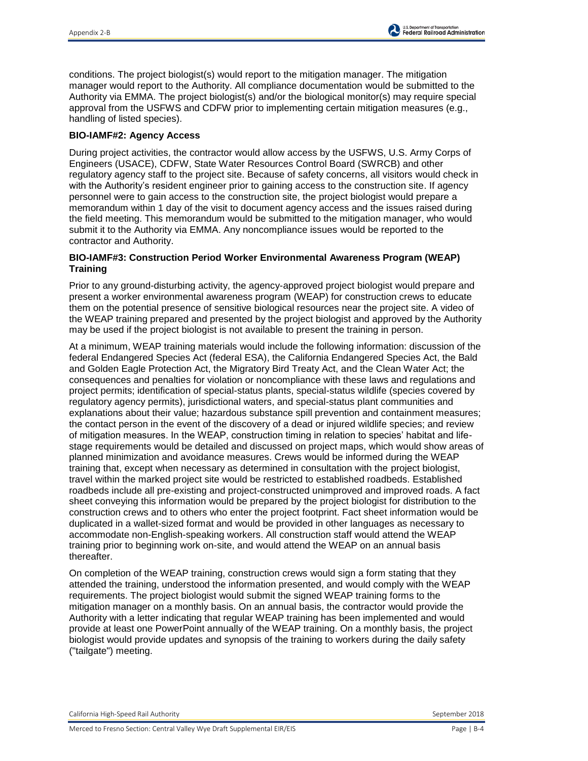conditions. The project biologist(s) would report to the mitigation manager. The mitigation manager would report to the Authority. All compliance documentation would be submitted to the Authority via EMMA. The project biologist(s) and/or the biological monitor(s) may require special approval from the USFWS and CDFW prior to implementing certain mitigation measures (e.g., handling of listed species).

### **BIO-IAMF#2: Agency Access**

During project activities, the contractor would allow access by the USFWS, U.S. Army Corps of Engineers (USACE), CDFW, State Water Resources Control Board (SWRCB) and other regulatory agency staff to the project site. Because of safety concerns, all visitors would check in with the Authority's resident engineer prior to gaining access to the construction site. If agency personnel were to gain access to the construction site, the project biologist would prepare a memorandum within 1 day of the visit to document agency access and the issues raised during the field meeting. This memorandum would be submitted to the mitigation manager, who would submit it to the Authority via EMMA. Any noncompliance issues would be reported to the contractor and Authority.

## **BIO-IAMF#3: Construction Period Worker Environmental Awareness Program (WEAP) Training**

Prior to any ground-disturbing activity, the agency-approved project biologist would prepare and present a worker environmental awareness program (WEAP) for construction crews to educate them on the potential presence of sensitive biological resources near the project site. A video of the WEAP training prepared and presented by the project biologist and approved by the Authority may be used if the project biologist is not available to present the training in person.

At a minimum, WEAP training materials would include the following information: discussion of the federal Endangered Species Act (federal ESA), the California Endangered Species Act, the Bald and Golden Eagle Protection Act, the Migratory Bird Treaty Act, and the Clean Water Act; the consequences and penalties for violation or noncompliance with these laws and regulations and project permits; identification of special-status plants, special-status wildlife (species covered by regulatory agency permits), jurisdictional waters, and special-status plant communities and explanations about their value; hazardous substance spill prevention and containment measures; the contact person in the event of the discovery of a dead or injured wildlife species; and review of mitigation measures. In the WEAP, construction timing in relation to species' habitat and lifestage requirements would be detailed and discussed on project maps, which would show areas of planned minimization and avoidance measures. Crews would be informed during the WEAP training that, except when necessary as determined in consultation with the project biologist, travel within the marked project site would be restricted to established roadbeds. Established roadbeds include all pre-existing and project-constructed unimproved and improved roads. A fact sheet conveying this information would be prepared by the project biologist for distribution to the construction crews and to others who enter the project footprint. Fact sheet information would be duplicated in a wallet-sized format and would be provided in other languages as necessary to accommodate non-English-speaking workers. All construction staff would attend the WEAP training prior to beginning work on-site, and would attend the WEAP on an annual basis thereafter.

On completion of the WEAP training, construction crews would sign a form stating that they attended the training, understood the information presented, and would comply with the WEAP requirements. The project biologist would submit the signed WEAP training forms to the mitigation manager on a monthly basis. On an annual basis, the contractor would provide the Authority with a letter indicating that regular WEAP training has been implemented and would provide at least one PowerPoint annually of the WEAP training. On a monthly basis, the project biologist would provide updates and synopsis of the training to workers during the daily safety ("tailgate") meeting.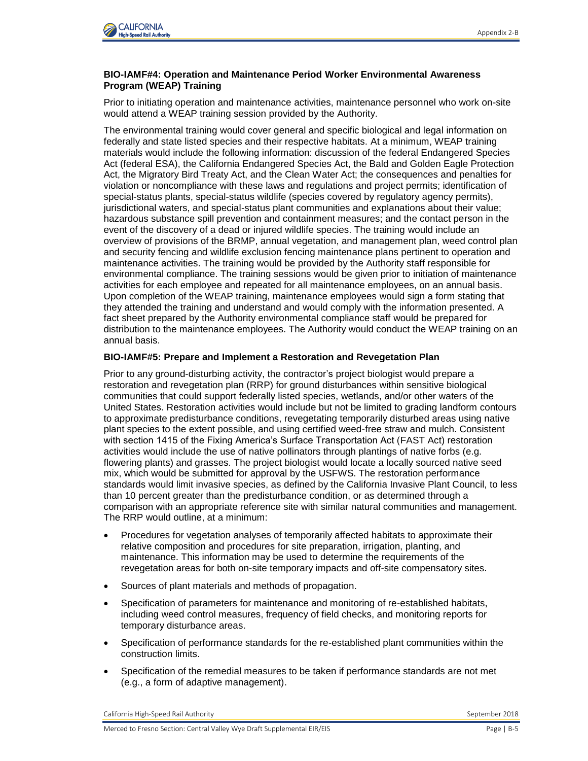

### **BIO-IAMF#4: Operation and Maintenance Period Worker Environmental Awareness Program (WEAP) Training**

Prior to initiating operation and maintenance activities, maintenance personnel who work on-site would attend a WEAP training session provided by the Authority.

The environmental training would cover general and specific biological and legal information on federally and state listed species and their respective habitats. At a minimum, WEAP training materials would include the following information: discussion of the federal Endangered Species Act (federal ESA), the California Endangered Species Act, the Bald and Golden Eagle Protection Act, the Migratory Bird Treaty Act, and the Clean Water Act; the consequences and penalties for violation or noncompliance with these laws and regulations and project permits; identification of special-status plants, special-status wildlife (species covered by regulatory agency permits), jurisdictional waters, and special-status plant communities and explanations about their value; hazardous substance spill prevention and containment measures; and the contact person in the event of the discovery of a dead or injured wildlife species. The training would include an overview of provisions of the BRMP, annual vegetation, and management plan, weed control plan and security fencing and wildlife exclusion fencing maintenance plans pertinent to operation and maintenance activities. The training would be provided by the Authority staff responsible for environmental compliance. The training sessions would be given prior to initiation of maintenance activities for each employee and repeated for all maintenance employees, on an annual basis. Upon completion of the WEAP training, maintenance employees would sign a form stating that they attended the training and understand and would comply with the information presented. A fact sheet prepared by the Authority environmental compliance staff would be prepared for distribution to the maintenance employees. The Authority would conduct the WEAP training on an annual basis.

#### **BIO-IAMF#5: Prepare and Implement a Restoration and Revegetation Plan**

Prior to any ground-disturbing activity, the contractor's project biologist would prepare a restoration and revegetation plan (RRP) for ground disturbances within sensitive biological communities that could support federally listed species, wetlands, and/or other waters of the United States. Restoration activities would include but not be limited to grading landform contours to approximate predisturbance conditions, revegetating temporarily disturbed areas using native plant species to the extent possible, and using certified weed-free straw and mulch. Consistent with section 1415 of the Fixing America's Surface Transportation Act (FAST Act) restoration activities would include the use of native pollinators through plantings of native forbs (e.g. flowering plants) and grasses. The project biologist would locate a locally sourced native seed mix, which would be submitted for approval by the USFWS. The restoration performance standards would limit invasive species, as defined by the California Invasive Plant Council, to less than 10 percent greater than the predisturbance condition, or as determined through a comparison with an appropriate reference site with similar natural communities and management. The RRP would outline, at a minimum:

- Procedures for vegetation analyses of temporarily affected habitats to approximate their relative composition and procedures for site preparation, irrigation, planting, and maintenance. This information may be used to determine the requirements of the revegetation areas for both on-site temporary impacts and off-site compensatory sites.
- Sources of plant materials and methods of propagation.
- Specification of parameters for maintenance and monitoring of re-established habitats, including weed control measures, frequency of field checks, and monitoring reports for temporary disturbance areas.
- Specification of performance standards for the re-established plant communities within the construction limits.
- Specification of the remedial measures to be taken if performance standards are not met (e.g., a form of adaptive management).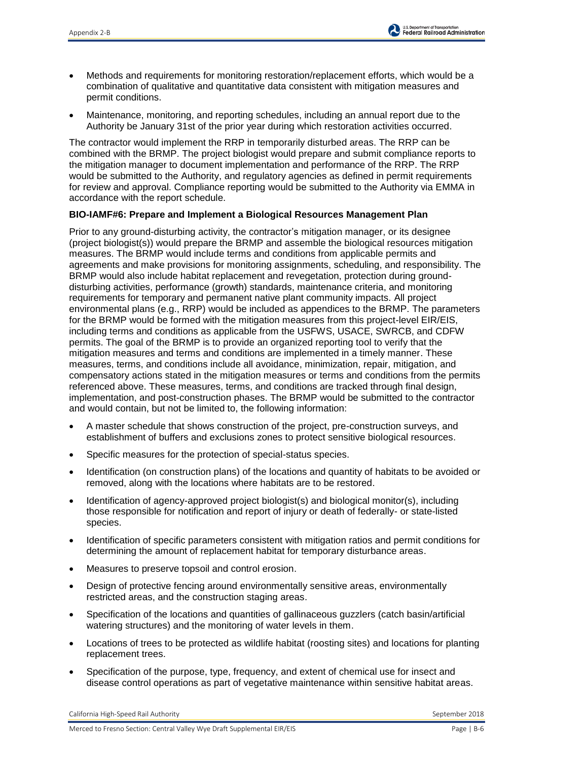- Methods and requirements for monitoring restoration/replacement efforts, which would be a combination of qualitative and quantitative data consistent with mitigation measures and permit conditions.
- Maintenance, monitoring, and reporting schedules, including an annual report due to the Authority be January 31st of the prior year during which restoration activities occurred.

The contractor would implement the RRP in temporarily disturbed areas. The RRP can be combined with the BRMP. The project biologist would prepare and submit compliance reports to the mitigation manager to document implementation and performance of the RRP. The RRP would be submitted to the Authority, and regulatory agencies as defined in permit requirements for review and approval. Compliance reporting would be submitted to the Authority via EMMA in accordance with the report schedule.

### **BIO-IAMF#6: Prepare and Implement a Biological Resources Management Plan**

Prior to any ground-disturbing activity, the contractor's mitigation manager, or its designee (project biologist(s)) would prepare the BRMP and assemble the biological resources mitigation measures. The BRMP would include terms and conditions from applicable permits and agreements and make provisions for monitoring assignments, scheduling, and responsibility. The BRMP would also include habitat replacement and revegetation, protection during grounddisturbing activities, performance (growth) standards, maintenance criteria, and monitoring requirements for temporary and permanent native plant community impacts. All project environmental plans (e.g., RRP) would be included as appendices to the BRMP. The parameters for the BRMP would be formed with the mitigation measures from this project-level EIR/EIS, including terms and conditions as applicable from the USFWS, USACE, SWRCB, and CDFW permits. The goal of the BRMP is to provide an organized reporting tool to verify that the mitigation measures and terms and conditions are implemented in a timely manner. These measures, terms, and conditions include all avoidance, minimization, repair, mitigation, and compensatory actions stated in the mitigation measures or terms and conditions from the permits referenced above. These measures, terms, and conditions are tracked through final design, implementation, and post-construction phases. The BRMP would be submitted to the contractor and would contain, but not be limited to, the following information:

- A master schedule that shows construction of the project, pre-construction surveys, and establishment of buffers and exclusions zones to protect sensitive biological resources.
- Specific measures for the protection of special-status species.
- Identification (on construction plans) of the locations and quantity of habitats to be avoided or removed, along with the locations where habitats are to be restored.
- Identification of agency-approved project biologist(s) and biological monitor(s), including those responsible for notification and report of injury or death of federally- or state-listed species.
- Identification of specific parameters consistent with mitigation ratios and permit conditions for determining the amount of replacement habitat for temporary disturbance areas.
- Measures to preserve topsoil and control erosion.
- Design of protective fencing around environmentally sensitive areas, environmentally restricted areas, and the construction staging areas.
- Specification of the locations and quantities of gallinaceous guzzlers (catch basin/artificial watering structures) and the monitoring of water levels in them.
- Locations of trees to be protected as wildlife habitat (roosting sites) and locations for planting replacement trees.
- Specification of the purpose, type, frequency, and extent of chemical use for insect and disease control operations as part of vegetative maintenance within sensitive habitat areas.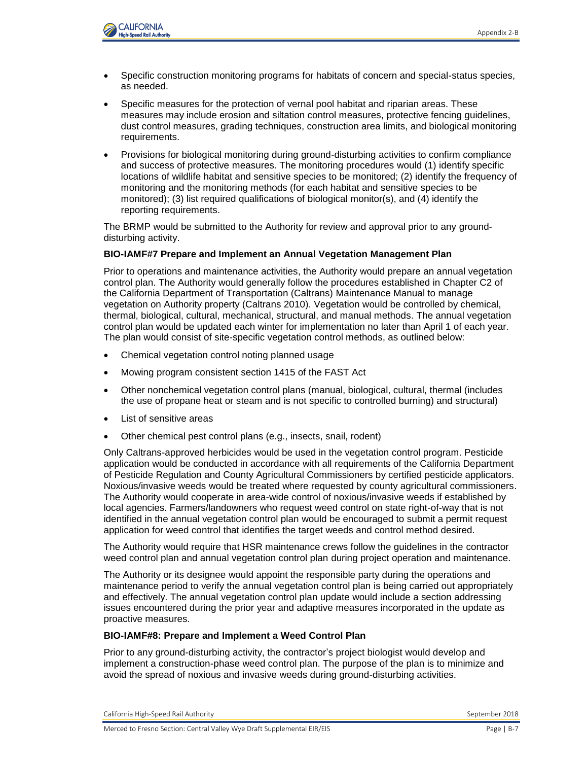

- Specific construction monitoring programs for habitats of concern and special-status species, as needed.
- Specific measures for the protection of vernal pool habitat and riparian areas. These measures may include erosion and siltation control measures, protective fencing guidelines, dust control measures, grading techniques, construction area limits, and biological monitoring requirements.
- Provisions for biological monitoring during ground-disturbing activities to confirm compliance and success of protective measures. The monitoring procedures would (1) identify specific locations of wildlife habitat and sensitive species to be monitored; (2) identify the frequency of monitoring and the monitoring methods (for each habitat and sensitive species to be monitored); (3) list required qualifications of biological monitor(s), and (4) identify the reporting requirements.

The BRMP would be submitted to the Authority for review and approval prior to any grounddisturbing activity.

#### **BIO-IAMF#7 Prepare and Implement an Annual Vegetation Management Plan**

Prior to operations and maintenance activities, the Authority would prepare an annual vegetation control plan. The Authority would generally follow the procedures established in Chapter C2 of the California Department of Transportation (Caltrans) Maintenance Manual to manage vegetation on Authority property (Caltrans 2010). Vegetation would be controlled by chemical, thermal, biological, cultural, mechanical, structural, and manual methods. The annual vegetation control plan would be updated each winter for implementation no later than April 1 of each year. The plan would consist of site-specific vegetation control methods, as outlined below:

- Chemical vegetation control noting planned usage
- Mowing program consistent section 1415 of the FAST Act
- Other nonchemical vegetation control plans (manual, biological, cultural, thermal (includes the use of propane heat or steam and is not specific to controlled burning) and structural)
- List of sensitive areas
- Other chemical pest control plans (e.g., insects, snail, rodent)

Only Caltrans-approved herbicides would be used in the vegetation control program. Pesticide application would be conducted in accordance with all requirements of the California Department of Pesticide Regulation and County Agricultural Commissioners by certified pesticide applicators. Noxious/invasive weeds would be treated where requested by county agricultural commissioners. The Authority would cooperate in area-wide control of noxious/invasive weeds if established by local agencies. Farmers/landowners who request weed control on state right-of-way that is not identified in the annual vegetation control plan would be encouraged to submit a permit request application for weed control that identifies the target weeds and control method desired.

The Authority would require that HSR maintenance crews follow the guidelines in the contractor weed control plan and annual vegetation control plan during project operation and maintenance.

The Authority or its designee would appoint the responsible party during the operations and maintenance period to verify the annual vegetation control plan is being carried out appropriately and effectively. The annual vegetation control plan update would include a section addressing issues encountered during the prior year and adaptive measures incorporated in the update as proactive measures.

#### **BIO-IAMF#8: Prepare and Implement a Weed Control Plan**

Prior to any ground-disturbing activity, the contractor's project biologist would develop and implement a construction-phase weed control plan. The purpose of the plan is to minimize and avoid the spread of noxious and invasive weeds during ground-disturbing activities.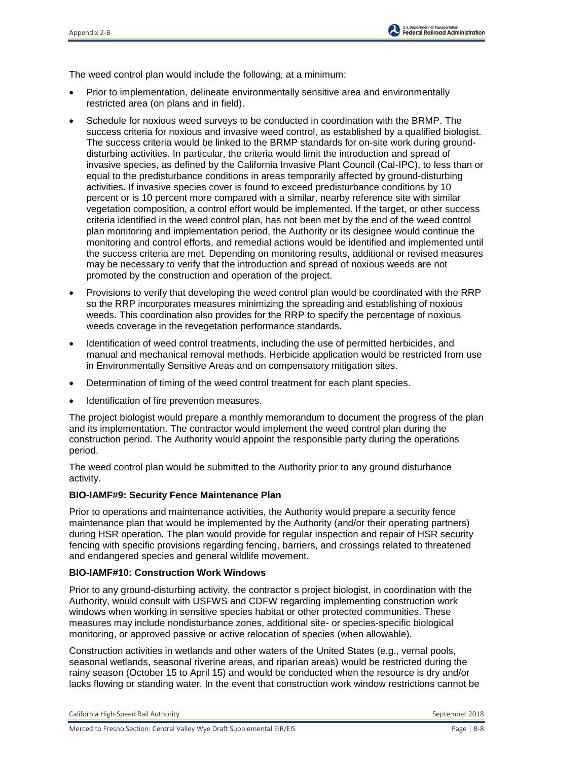

The weed control plan would include the following, at a minimum:

- Prior to implementation, delineate environmentally sensitive area and environmentally restricted area (on plans and in field).
- Schedule for noxious weed surveys to be conducted in coordination with the BRMP. The success criteria for noxious and invasive weed control, as established by a qualified biologist. The success criteria would be linked to the BRMP standards for on-site work during grounddisturbing activities. In particular, the criteria would limit the introduction and spread of invasive species, as defined by the California Invasive Plant Council (Cal-IPC), to less than or equal to the predisturbance conditions in areas temporarily affected by ground-disturbing activities. If invasive species cover is found to exceed predisturbance conditions by 10 percent or is 10 percent more compared with a similar, nearby reference site with similar vegetation composition, a control effort would be implemented. If the target, or other success criteria identified in the weed control plan, has not been met by the end of the weed control plan monitoring and implementation period, the Authority or its designee would continue the monitoring and control efforts, and remedial actions would be identified and implemented until the success criteria are met. Depending on monitoring results, additional or revised measures may be necessary to verify that the introduction and spread of noxious weeds are not promoted by the construction and operation of the project.
- Provisions to verify that developing the weed control plan would be coordinated with the RRP so the RRP incorporates measures minimizing the spreading and establishing of noxious weeds. This coordination also provides for the RRP to specify the percentage of noxious weeds coverage in the revegetation performance standards.
- Identification of weed control treatments, including the use of permitted herbicides, and manual and mechanical removal methods. Herbicide application would be restricted from use in Environmentally Sensitive Areas and on compensatory mitigation sites.
- Determination of timing of the weed control treatment for each plant species.
- Identification of fire prevention measures.

The project biologist would prepare a monthly memorandum to document the progress of the plan and its implementation. The contractor would implement the weed control plan during the construction period. The Authority would appoint the responsible party during the operations period.

The weed control plan would be submitted to the Authority prior to any ground disturbance activity.

#### **BIO-IAMF#9: Security Fence Maintenance Plan**

Prior to operations and maintenance activities, the Authority would prepare a security fence maintenance plan that would be implemented by the Authority (and/or their operating partners) during HSR operation. The plan would provide for regular inspection and repair of HSR security fencing with specific provisions regarding fencing, barriers, and crossings related to threatened and endangered species and general wildlife movement.

### **BIO-IAMF#10: Construction Work Windows**

Prior to any ground-disturbing activity, the contractor s project biologist, in coordination with the Authority, would consult with USFWS and CDFW regarding implementing construction work windows when working in sensitive species habitat or other protected communities. These measures may include nondisturbance zones, additional site- or species-specific biological monitoring, or approved passive or active relocation of species (when allowable).

Construction activities in wetlands and other waters of the United States (e.g., vernal pools, seasonal wetlands, seasonal riverine areas, and riparian areas) would be restricted during the rainy season (October 15 to April 15) and would be conducted when the resource is dry and/or lacks flowing or standing water. In the event that construction work window restrictions cannot be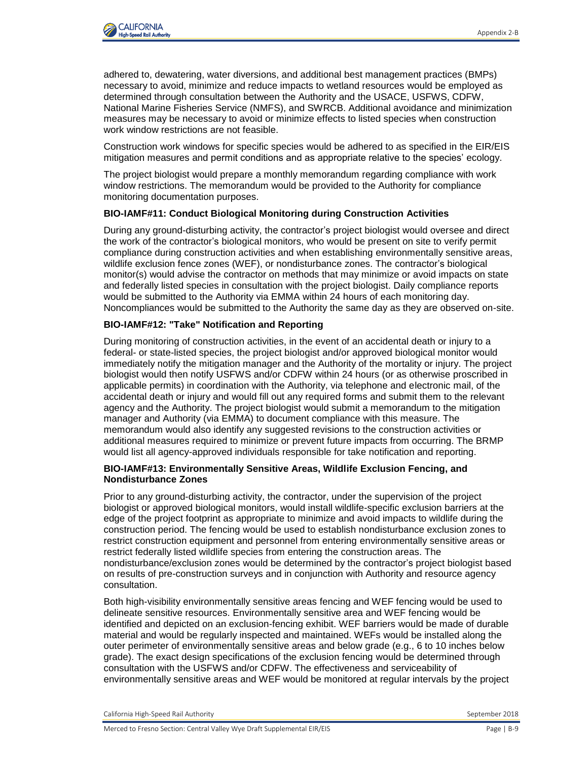

adhered to, dewatering, water diversions, and additional best management practices (BMPs) necessary to avoid, minimize and reduce impacts to wetland resources would be employed as determined through consultation between the Authority and the USACE, USFWS, CDFW, National Marine Fisheries Service (NMFS), and SWRCB. Additional avoidance and minimization measures may be necessary to avoid or minimize effects to listed species when construction work window restrictions are not feasible.

Construction work windows for specific species would be adhered to as specified in the EIR/EIS mitigation measures and permit conditions and as appropriate relative to the species' ecology.

The project biologist would prepare a monthly memorandum regarding compliance with work window restrictions. The memorandum would be provided to the Authority for compliance monitoring documentation purposes.

### **BIO-IAMF#11: Conduct Biological Monitoring during Construction Activities**

During any ground-disturbing activity, the contractor's project biologist would oversee and direct the work of the contractor's biological monitors, who would be present on site to verify permit compliance during construction activities and when establishing environmentally sensitive areas, wildlife exclusion fence zones (WEF), or nondisturbance zones. The contractor's biological monitor(s) would advise the contractor on methods that may minimize or avoid impacts on state and federally listed species in consultation with the project biologist. Daily compliance reports would be submitted to the Authority via EMMA within 24 hours of each monitoring day. Noncompliances would be submitted to the Authority the same day as they are observed on-site.

#### **BIO-IAMF#12: "Take" Notification and Reporting**

During monitoring of construction activities, in the event of an accidental death or injury to a federal- or state-listed species, the project biologist and/or approved biological monitor would immediately notify the mitigation manager and the Authority of the mortality or injury. The project biologist would then notify USFWS and/or CDFW within 24 hours (or as otherwise proscribed in applicable permits) in coordination with the Authority, via telephone and electronic mail, of the accidental death or injury and would fill out any required forms and submit them to the relevant agency and the Authority. The project biologist would submit a memorandum to the mitigation manager and Authority (via EMMA) to document compliance with this measure. The memorandum would also identify any suggested revisions to the construction activities or additional measures required to minimize or prevent future impacts from occurring. The BRMP would list all agency-approved individuals responsible for take notification and reporting.

#### **BIO-IAMF#13: Environmentally Sensitive Areas, Wildlife Exclusion Fencing, and Nondisturbance Zones**

Prior to any ground-disturbing activity, the contractor, under the supervision of the project biologist or approved biological monitors, would install wildlife-specific exclusion barriers at the edge of the project footprint as appropriate to minimize and avoid impacts to wildlife during the construction period. The fencing would be used to establish nondisturbance exclusion zones to restrict construction equipment and personnel from entering environmentally sensitive areas or restrict federally listed wildlife species from entering the construction areas. The nondisturbance/exclusion zones would be determined by the contractor's project biologist based on results of pre-construction surveys and in conjunction with Authority and resource agency consultation.

Both high-visibility environmentally sensitive areas fencing and WEF fencing would be used to delineate sensitive resources. Environmentally sensitive area and WEF fencing would be identified and depicted on an exclusion-fencing exhibit. WEF barriers would be made of durable material and would be regularly inspected and maintained. WEFs would be installed along the outer perimeter of environmentally sensitive areas and below grade (e.g., 6 to 10 inches below grade). The exact design specifications of the exclusion fencing would be determined through consultation with the USFWS and/or CDFW. The effectiveness and serviceability of environmentally sensitive areas and WEF would be monitored at regular intervals by the project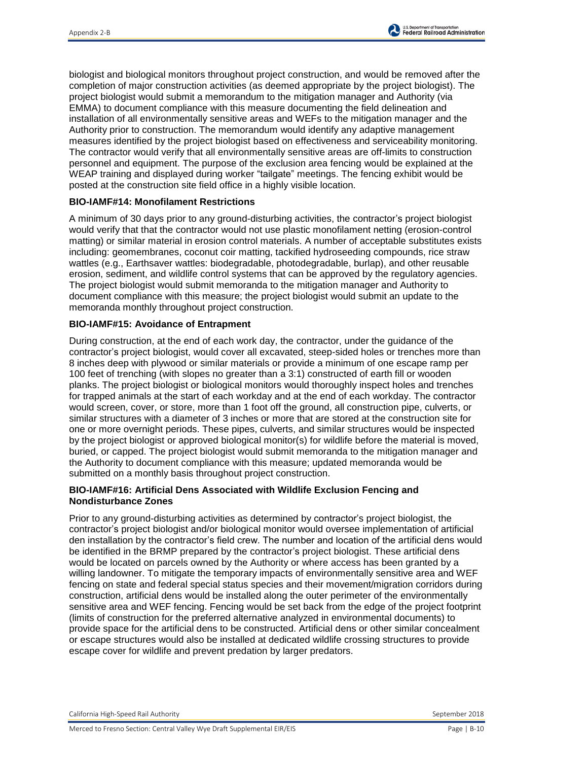biologist and biological monitors throughout project construction, and would be removed after the completion of major construction activities (as deemed appropriate by the project biologist). The project biologist would submit a memorandum to the mitigation manager and Authority (via EMMA) to document compliance with this measure documenting the field delineation and installation of all environmentally sensitive areas and WEFs to the mitigation manager and the Authority prior to construction. The memorandum would identify any adaptive management measures identified by the project biologist based on effectiveness and serviceability monitoring. The contractor would verify that all environmentally sensitive areas are off-limits to construction personnel and equipment. The purpose of the exclusion area fencing would be explained at the WEAP training and displayed during worker "tailgate" meetings. The fencing exhibit would be posted at the construction site field office in a highly visible location.

### **BIO-IAMF#14: Monofilament Restrictions**

A minimum of 30 days prior to any ground-disturbing activities, the contractor's project biologist would verify that that the contractor would not use plastic monofilament netting (erosion-control matting) or similar material in erosion control materials. A number of acceptable substitutes exists including: geomembranes, coconut coir matting, tackified hydroseeding compounds, rice straw wattles (e.g., Earthsaver wattles: biodegradable, photodegradable, burlap), and other reusable erosion, sediment, and wildlife control systems that can be approved by the regulatory agencies. The project biologist would submit memoranda to the mitigation manager and Authority to document compliance with this measure; the project biologist would submit an update to the memoranda monthly throughout project construction.

#### **BIO-IAMF#15: Avoidance of Entrapment**

During construction, at the end of each work day, the contractor, under the guidance of the contractor's project biologist, would cover all excavated, steep-sided holes or trenches more than 8 inches deep with plywood or similar materials or provide a minimum of one escape ramp per 100 feet of trenching (with slopes no greater than a 3:1) constructed of earth fill or wooden planks. The project biologist or biological monitors would thoroughly inspect holes and trenches for trapped animals at the start of each workday and at the end of each workday. The contractor would screen, cover, or store, more than 1 foot off the ground, all construction pipe, culverts, or similar structures with a diameter of 3 inches or more that are stored at the construction site for one or more overnight periods. These pipes, culverts, and similar structures would be inspected by the project biologist or approved biological monitor(s) for wildlife before the material is moved, buried, or capped. The project biologist would submit memoranda to the mitigation manager and the Authority to document compliance with this measure; updated memoranda would be submitted on a monthly basis throughout project construction.

#### **BIO-IAMF#16: Artificial Dens Associated with Wildlife Exclusion Fencing and Nondisturbance Zones**

Prior to any ground-disturbing activities as determined by contractor's project biologist, the contractor's project biologist and/or biological monitor would oversee implementation of artificial den installation by the contractor's field crew. The number and location of the artificial dens would be identified in the BRMP prepared by the contractor's project biologist. These artificial dens would be located on parcels owned by the Authority or where access has been granted by a willing landowner. To mitigate the temporary impacts of environmentally sensitive area and WEF fencing on state and federal special status species and their movement/migration corridors during construction, artificial dens would be installed along the outer perimeter of the environmentally sensitive area and WEF fencing. Fencing would be set back from the edge of the project footprint (limits of construction for the preferred alternative analyzed in environmental documents) to provide space for the artificial dens to be constructed. Artificial dens or other similar concealment or escape structures would also be installed at dedicated wildlife crossing structures to provide escape cover for wildlife and prevent predation by larger predators.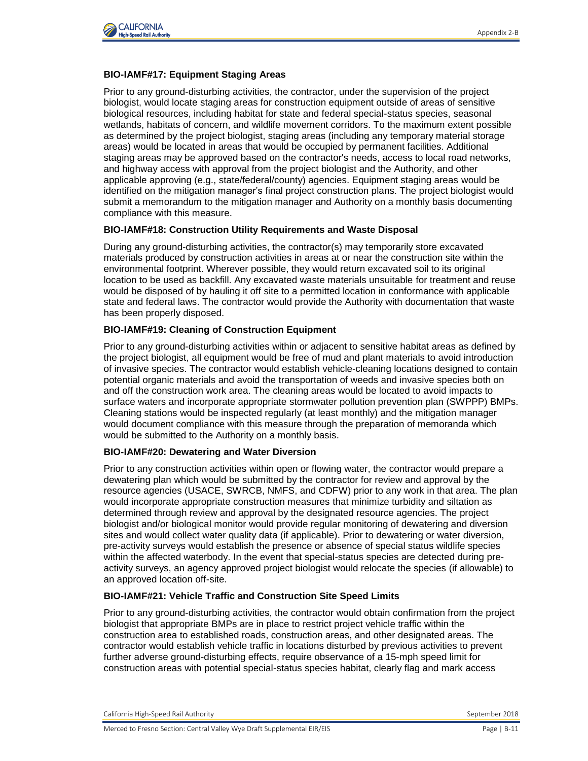

### **BIO-IAMF#17: Equipment Staging Areas**

Prior to any ground-disturbing activities, the contractor, under the supervision of the project biologist, would locate staging areas for construction equipment outside of areas of sensitive biological resources, including habitat for state and federal special-status species, seasonal wetlands, habitats of concern, and wildlife movement corridors. To the maximum extent possible as determined by the project biologist, staging areas (including any temporary material storage areas) would be located in areas that would be occupied by permanent facilities. Additional staging areas may be approved based on the contractor's needs, access to local road networks, and highway access with approval from the project biologist and the Authority, and other applicable approving (e.g., state/federal/county) agencies. Equipment staging areas would be identified on the mitigation manager's final project construction plans. The project biologist would submit a memorandum to the mitigation manager and Authority on a monthly basis documenting compliance with this measure.

#### **BIO-IAMF#18: Construction Utility Requirements and Waste Disposal**

During any ground-disturbing activities, the contractor(s) may temporarily store excavated materials produced by construction activities in areas at or near the construction site within the environmental footprint. Wherever possible, they would return excavated soil to its original location to be used as backfill. Any excavated waste materials unsuitable for treatment and reuse would be disposed of by hauling it off site to a permitted location in conformance with applicable state and federal laws. The contractor would provide the Authority with documentation that waste has been properly disposed.

#### **BIO-IAMF#19: Cleaning of Construction Equipment**

Prior to any ground-disturbing activities within or adjacent to sensitive habitat areas as defined by the project biologist, all equipment would be free of mud and plant materials to avoid introduction of invasive species. The contractor would establish vehicle-cleaning locations designed to contain potential organic materials and avoid the transportation of weeds and invasive species both on and off the construction work area. The cleaning areas would be located to avoid impacts to surface waters and incorporate appropriate stormwater pollution prevention plan (SWPPP) BMPs. Cleaning stations would be inspected regularly (at least monthly) and the mitigation manager would document compliance with this measure through the preparation of memoranda which would be submitted to the Authority on a monthly basis.

### **BIO-IAMF#20: Dewatering and Water Diversion**

Prior to any construction activities within open or flowing water, the contractor would prepare a dewatering plan which would be submitted by the contractor for review and approval by the resource agencies (USACE, SWRCB, NMFS, and CDFW) prior to any work in that area. The plan would incorporate appropriate construction measures that minimize turbidity and siltation as determined through review and approval by the designated resource agencies. The project biologist and/or biological monitor would provide regular monitoring of dewatering and diversion sites and would collect water quality data (if applicable). Prior to dewatering or water diversion, pre-activity surveys would establish the presence or absence of special status wildlife species within the affected waterbody. In the event that special-status species are detected during preactivity surveys, an agency approved project biologist would relocate the species (if allowable) to an approved location off-site.

#### **BIO-IAMF#21: Vehicle Traffic and Construction Site Speed Limits**

Prior to any ground-disturbing activities, the contractor would obtain confirmation from the project biologist that appropriate BMPs are in place to restrict project vehicle traffic within the construction area to established roads, construction areas, and other designated areas. The contractor would establish vehicle traffic in locations disturbed by previous activities to prevent further adverse ground-disturbing effects, require observance of a 15-mph speed limit for construction areas with potential special-status species habitat, clearly flag and mark access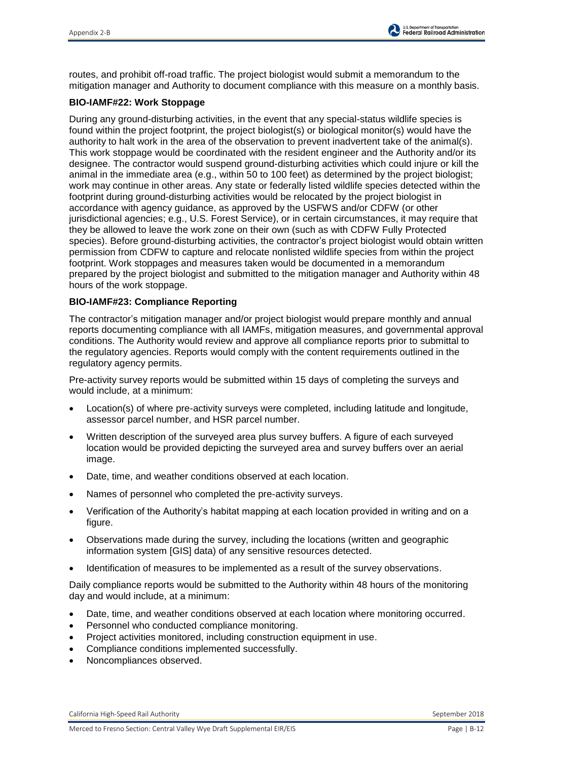routes, and prohibit off-road traffic. The project biologist would submit a memorandum to the mitigation manager and Authority to document compliance with this measure on a monthly basis.

## **BIO-IAMF#22: Work Stoppage**

During any ground-disturbing activities, in the event that any special-status wildlife species is found within the project footprint, the project biologist(s) or biological monitor(s) would have the authority to halt work in the area of the observation to prevent inadvertent take of the animal(s). This work stoppage would be coordinated with the resident engineer and the Authority and/or its designee. The contractor would suspend ground-disturbing activities which could injure or kill the animal in the immediate area (e.g., within 50 to 100 feet) as determined by the project biologist; work may continue in other areas. Any state or federally listed wildlife species detected within the footprint during ground-disturbing activities would be relocated by the project biologist in accordance with agency guidance, as approved by the USFWS and/or CDFW (or other jurisdictional agencies; e.g., U.S. Forest Service), or in certain circumstances, it may require that they be allowed to leave the work zone on their own (such as with CDFW Fully Protected species). Before ground-disturbing activities, the contractor's project biologist would obtain written permission from CDFW to capture and relocate nonlisted wildlife species from within the project footprint. Work stoppages and measures taken would be documented in a memorandum prepared by the project biologist and submitted to the mitigation manager and Authority within 48 hours of the work stoppage.

## **BIO-IAMF#23: Compliance Reporting**

The contractor's mitigation manager and/or project biologist would prepare monthly and annual reports documenting compliance with all IAMFs, mitigation measures, and governmental approval conditions. The Authority would review and approve all compliance reports prior to submittal to the regulatory agencies. Reports would comply with the content requirements outlined in the regulatory agency permits.

Pre-activity survey reports would be submitted within 15 days of completing the surveys and would include, at a minimum:

- Location(s) of where pre-activity surveys were completed, including latitude and longitude, assessor parcel number, and HSR parcel number.
- Written description of the surveyed area plus survey buffers. A figure of each surveyed location would be provided depicting the surveyed area and survey buffers over an aerial image.
- Date, time, and weather conditions observed at each location.
- Names of personnel who completed the pre-activity surveys.
- Verification of the Authority's habitat mapping at each location provided in writing and on a figure.
- Observations made during the survey, including the locations (written and geographic information system [GIS] data) of any sensitive resources detected.
- Identification of measures to be implemented as a result of the survey observations.

Daily compliance reports would be submitted to the Authority within 48 hours of the monitoring day and would include, at a minimum:

- Date, time, and weather conditions observed at each location where monitoring occurred.
- Personnel who conducted compliance monitoring.
- Project activities monitored, including construction equipment in use.
- Compliance conditions implemented successfully.
- Noncompliances observed.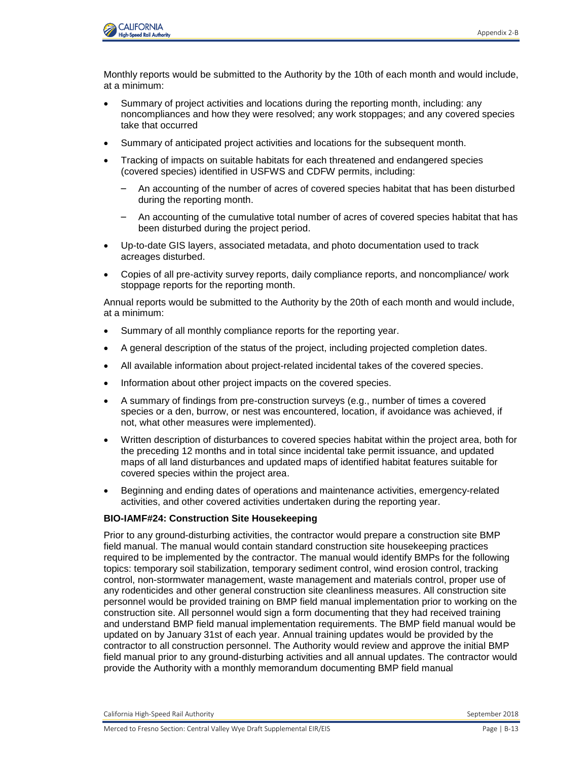

Monthly reports would be submitted to the Authority by the 10th of each month and would include, at a minimum:

- Summary of project activities and locations during the reporting month, including: any noncompliances and how they were resolved; any work stoppages; and any covered species take that occurred
- Summary of anticipated project activities and locations for the subsequent month.
- Tracking of impacts on suitable habitats for each threatened and endangered species (covered species) identified in USFWS and CDFW permits, including:
	- An accounting of the number of acres of covered species habitat that has been disturbed during the reporting month.
	- An accounting of the cumulative total number of acres of covered species habitat that has been disturbed during the project period.
- Up-to-date GIS layers, associated metadata, and photo documentation used to track acreages disturbed.
- Copies of all pre-activity survey reports, daily compliance reports, and noncompliance/ work stoppage reports for the reporting month.

Annual reports would be submitted to the Authority by the 20th of each month and would include, at a minimum:

- Summary of all monthly compliance reports for the reporting year.
- A general description of the status of the project, including projected completion dates.
- All available information about project-related incidental takes of the covered species.
- Information about other project impacts on the covered species.
- A summary of findings from pre-construction surveys (e.g., number of times a covered species or a den, burrow, or nest was encountered, location, if avoidance was achieved, if not, what other measures were implemented).
- Written description of disturbances to covered species habitat within the project area, both for the preceding 12 months and in total since incidental take permit issuance, and updated maps of all land disturbances and updated maps of identified habitat features suitable for covered species within the project area.
- Beginning and ending dates of operations and maintenance activities, emergency-related activities, and other covered activities undertaken during the reporting year.

#### **BIO-IAMF#24: Construction Site Housekeeping**

Prior to any ground-disturbing activities, the contractor would prepare a construction site BMP field manual. The manual would contain standard construction site housekeeping practices required to be implemented by the contractor. The manual would identify BMPs for the following topics: temporary soil stabilization, temporary sediment control, wind erosion control, tracking control, non-stormwater management, waste management and materials control, proper use of any rodenticides and other general construction site cleanliness measures. All construction site personnel would be provided training on BMP field manual implementation prior to working on the construction site. All personnel would sign a form documenting that they had received training and understand BMP field manual implementation requirements. The BMP field manual would be updated on by January 31st of each year. Annual training updates would be provided by the contractor to all construction personnel. The Authority would review and approve the initial BMP field manual prior to any ground-disturbing activities and all annual updates. The contractor would provide the Authority with a monthly memorandum documenting BMP field manual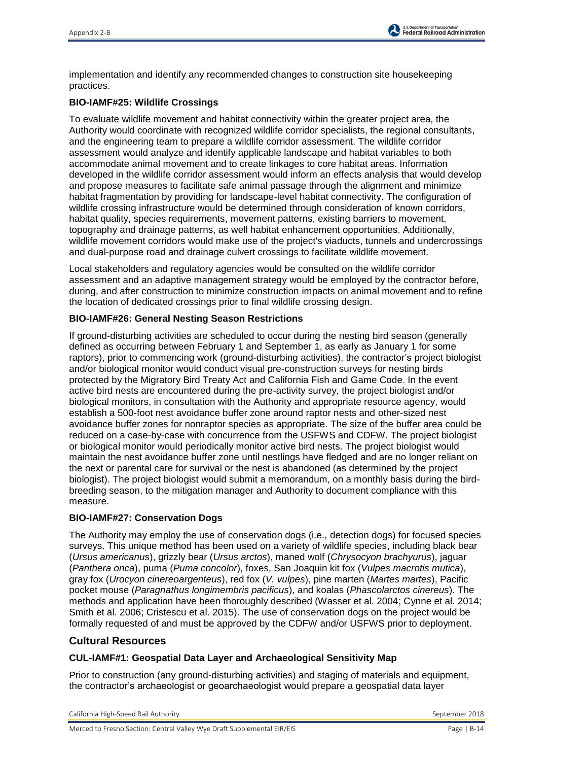implementation and identify any recommended changes to construction site housekeeping practices.

# **BIO-IAMF#25: Wildlife Crossings**

To evaluate wildlife movement and habitat connectivity within the greater project area, the Authority would coordinate with recognized wildlife corridor specialists, the regional consultants, and the engineering team to prepare a wildlife corridor assessment. The wildlife corridor assessment would analyze and identify applicable landscape and habitat variables to both accommodate animal movement and to create linkages to core habitat areas. Information developed in the wildlife corridor assessment would inform an effects analysis that would develop and propose measures to facilitate safe animal passage through the alignment and minimize habitat fragmentation by providing for landscape-level habitat connectivity. The configuration of wildlife crossing infrastructure would be determined through consideration of known corridors, habitat quality, species requirements, movement patterns, existing barriers to movement, topography and drainage patterns, as well habitat enhancement opportunities. Additionally, wildlife movement corridors would make use of the project's viaducts, tunnels and undercrossings and dual-purpose road and drainage culvert crossings to facilitate wildlife movement.

Local stakeholders and regulatory agencies would be consulted on the wildlife corridor assessment and an adaptive management strategy would be employed by the contractor before, during, and after construction to minimize construction impacts on animal movement and to refine the location of dedicated crossings prior to final wildlife crossing design.

## **BIO-IAMF#26: General Nesting Season Restrictions**

If ground-disturbing activities are scheduled to occur during the nesting bird season (generally defined as occurring between February 1 and September 1, as early as January 1 for some raptors), prior to commencing work (ground-disturbing activities), the contractor's project biologist and/or biological monitor would conduct visual pre-construction surveys for nesting birds protected by the Migratory Bird Treaty Act and California Fish and Game Code. In the event active bird nests are encountered during the pre-activity survey, the project biologist and/or biological monitors, in consultation with the Authority and appropriate resource agency, would establish a 500-foot nest avoidance buffer zone around raptor nests and other-sized nest avoidance buffer zones for nonraptor species as appropriate. The size of the buffer area could be reduced on a case-by-case with concurrence from the USFWS and CDFW. The project biologist or biological monitor would periodically monitor active bird nests. The project biologist would maintain the nest avoidance buffer zone until nestlings have fledged and are no longer reliant on the next or parental care for survival or the nest is abandoned (as determined by the project biologist). The project biologist would submit a memorandum, on a monthly basis during the birdbreeding season, to the mitigation manager and Authority to document compliance with this measure.

### **BIO-IAMF#27: Conservation Dogs**

The Authority may employ the use of conservation dogs (i.e., detection dogs) for focused species surveys. This unique method has been used on a variety of wildlife species, including black bear (*Ursus americanus*), grizzly bear (*Ursus arctos*), maned wolf (*Chrysocyon brachyurus*), jaguar (*Panthera onca*), puma (*Puma concolor*), foxes, San Joaquin kit fox (*Vulpes macrotis mutica*), gray fox (*Urocyon cinereoargenteus*), red fox (*V. vulpes*), pine marten (*Martes martes*), Pacific pocket mouse (*Paragnathus longimembris pacificus*), and koalas (*Phascolarctos cinereus*). The methods and application have been thoroughly described (Wasser et al. 2004; Cynne et al. 2014; Smith et al. 2006; Cristescu et al. 2015). The use of conservation dogs on the project would be formally requested of and must be approved by the CDFW and/or USFWS prior to deployment.

# **Cultural Resources**

### **CUL-IAMF#1: Geospatial Data Layer and Archaeological Sensitivity Map**

Prior to construction (any ground-disturbing activities) and staging of materials and equipment, the contractor's archaeologist or geoarchaeologist would prepare a geospatial data layer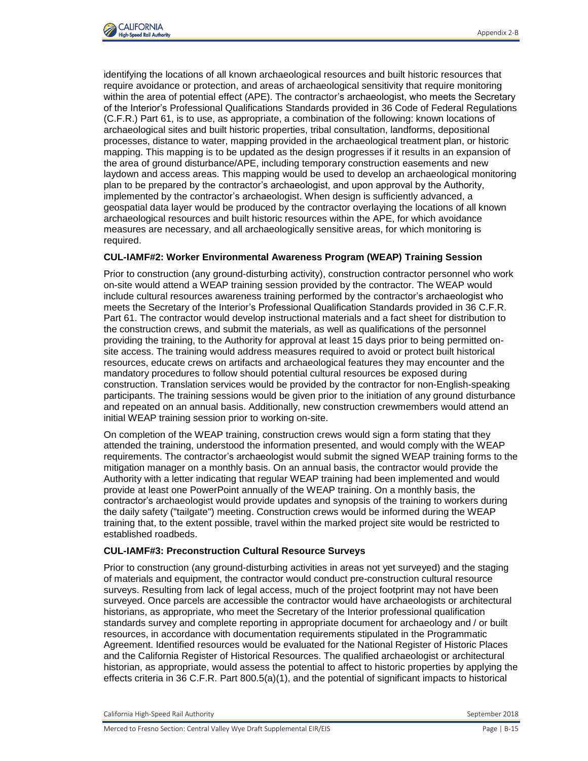identifying the locations of all known archaeological resources and built historic resources that require avoidance or protection, and areas of archaeological sensitivity that require monitoring within the area of potential effect (APE). The contractor's archaeologist, who meets the Secretary of the Interior's Professional Qualifications Standards provided in 36 Code of Federal Regulations (C.F.R.) Part 61, is to use, as appropriate, a combination of the following: known locations of archaeological sites and built historic properties, tribal consultation, landforms, depositional processes, distance to water, mapping provided in the archaeological treatment plan, or historic mapping. This mapping is to be updated as the design progresses if it results in an expansion of the area of ground disturbance/APE, including temporary construction easements and new laydown and access areas. This mapping would be used to develop an archaeological monitoring plan to be prepared by the contractor's archaeologist, and upon approval by the Authority, implemented by the contractor's archaeologist. When design is sufficiently advanced, a geospatial data layer would be produced by the contractor overlaying the locations of all known archaeological resources and built historic resources within the APE, for which avoidance measures are necessary, and all archaeologically sensitive areas, for which monitoring is required.

## **CUL-IAMF#2: Worker Environmental Awareness Program (WEAP) Training Session**

Prior to construction (any ground-disturbing activity), construction contractor personnel who work on-site would attend a WEAP training session provided by the contractor. The WEAP would include cultural resources awareness training performed by the contractor's archaeologist who meets the Secretary of the Interior's Professional Qualification Standards provided in 36 C.F.R. Part 61. The contractor would develop instructional materials and a fact sheet for distribution to the construction crews, and submit the materials, as well as qualifications of the personnel providing the training, to the Authority for approval at least 15 days prior to being permitted onsite access. The training would address measures required to avoid or protect built historical resources, educate crews on artifacts and archaeological features they may encounter and the mandatory procedures to follow should potential cultural resources be exposed during construction. Translation services would be provided by the contractor for non-English-speaking participants. The training sessions would be given prior to the initiation of any ground disturbance and repeated on an annual basis. Additionally, new construction crewmembers would attend an initial WEAP training session prior to working on-site.

On completion of the WEAP training, construction crews would sign a form stating that they attended the training, understood the information presented, and would comply with the WEAP requirements. The contractor's archaeologist would submit the signed WEAP training forms to the mitigation manager on a monthly basis. On an annual basis, the contractor would provide the Authority with a letter indicating that regular WEAP training had been implemented and would provide at least one PowerPoint annually of the WEAP training. On a monthly basis, the contractor's archaeologist would provide updates and synopsis of the training to workers during the daily safety ("tailgate") meeting. Construction crews would be informed during the WEAP training that, to the extent possible, travel within the marked project site would be restricted to established roadbeds.

### **CUL-IAMF#3: Preconstruction Cultural Resource Surveys**

Prior to construction (any ground-disturbing activities in areas not yet surveyed) and the staging of materials and equipment, the contractor would conduct pre-construction cultural resource surveys. Resulting from lack of legal access, much of the project footprint may not have been surveyed. Once parcels are accessible the contractor would have archaeologists or architectural historians, as appropriate, who meet the Secretary of the Interior professional qualification standards survey and complete reporting in appropriate document for archaeology and / or built resources, in accordance with documentation requirements stipulated in the Programmatic Agreement. Identified resources would be evaluated for the National Register of Historic Places and the California Register of Historical Resources. The qualified archaeologist or architectural historian, as appropriate, would assess the potential to affect to historic properties by applying the effects criteria in 36 C.F.R. Part 800.5(a)(1), and the potential of significant impacts to historical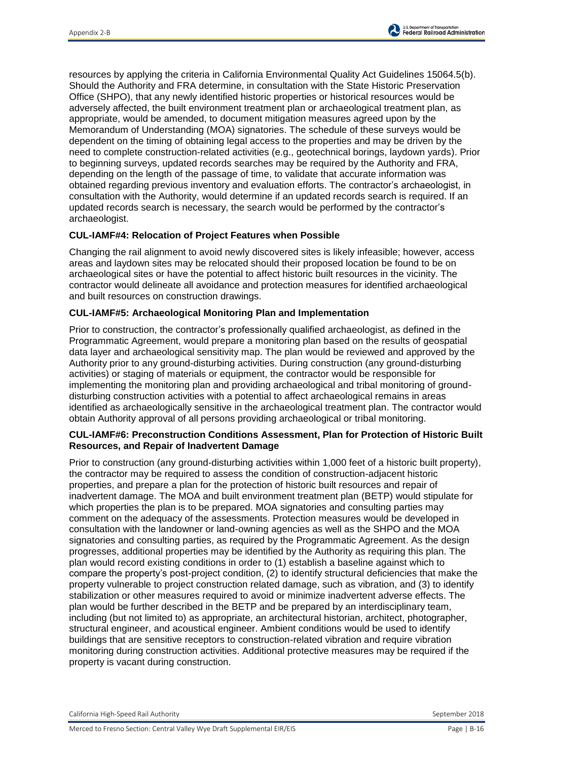resources by applying the criteria in California Environmental Quality Act Guidelines 15064.5(b). Should the Authority and FRA determine, in consultation with the State Historic Preservation Office (SHPO), that any newly identified historic properties or historical resources would be adversely affected, the built environment treatment plan or archaeological treatment plan, as appropriate, would be amended, to document mitigation measures agreed upon by the Memorandum of Understanding (MOA) signatories. The schedule of these surveys would be dependent on the timing of obtaining legal access to the properties and may be driven by the need to complete construction-related activities (e.g., geotechnical borings, laydown yards). Prior to beginning surveys, updated records searches may be required by the Authority and FRA, depending on the length of the passage of time, to validate that accurate information was obtained regarding previous inventory and evaluation efforts. The contractor's archaeologist, in consultation with the Authority, would determine if an updated records search is required. If an updated records search is necessary, the search would be performed by the contractor's archaeologist.

## **CUL-IAMF#4: Relocation of Project Features when Possible**

Changing the rail alignment to avoid newly discovered sites is likely infeasible; however, access areas and laydown sites may be relocated should their proposed location be found to be on archaeological sites or have the potential to affect historic built resources in the vicinity. The contractor would delineate all avoidance and protection measures for identified archaeological and built resources on construction drawings.

### **CUL-IAMF#5: Archaeological Monitoring Plan and Implementation**

Prior to construction, the contractor's professionally qualified archaeologist, as defined in the Programmatic Agreement, would prepare a monitoring plan based on the results of geospatial data layer and archaeological sensitivity map. The plan would be reviewed and approved by the Authority prior to any ground-disturbing activities. During construction (any ground-disturbing activities) or staging of materials or equipment, the contractor would be responsible for implementing the monitoring plan and providing archaeological and tribal monitoring of grounddisturbing construction activities with a potential to affect archaeological remains in areas identified as archaeologically sensitive in the archaeological treatment plan. The contractor would obtain Authority approval of all persons providing archaeological or tribal monitoring.

### **CUL-IAMF#6: Preconstruction Conditions Assessment, Plan for Protection of Historic Built Resources, and Repair of Inadvertent Damage**

Prior to construction (any ground-disturbing activities within 1,000 feet of a historic built property), the contractor may be required to assess the condition of construction-adjacent historic properties, and prepare a plan for the protection of historic built resources and repair of inadvertent damage. The MOA and built environment treatment plan (BETP) would stipulate for which properties the plan is to be prepared. MOA signatories and consulting parties may comment on the adequacy of the assessments. Protection measures would be developed in consultation with the landowner or land-owning agencies as well as the SHPO and the MOA signatories and consulting parties, as required by the Programmatic Agreement. As the design progresses, additional properties may be identified by the Authority as requiring this plan. The plan would record existing conditions in order to (1) establish a baseline against which to compare the property's post-project condition, (2) to identify structural deficiencies that make the property vulnerable to project construction related damage, such as vibration, and (3) to identify stabilization or other measures required to avoid or minimize inadvertent adverse effects. The plan would be further described in the BETP and be prepared by an interdisciplinary team, including (but not limited to) as appropriate, an architectural historian, architect, photographer, structural engineer, and acoustical engineer. Ambient conditions would be used to identify buildings that are sensitive receptors to construction-related vibration and require vibration monitoring during construction activities. Additional protective measures may be required if the property is vacant during construction.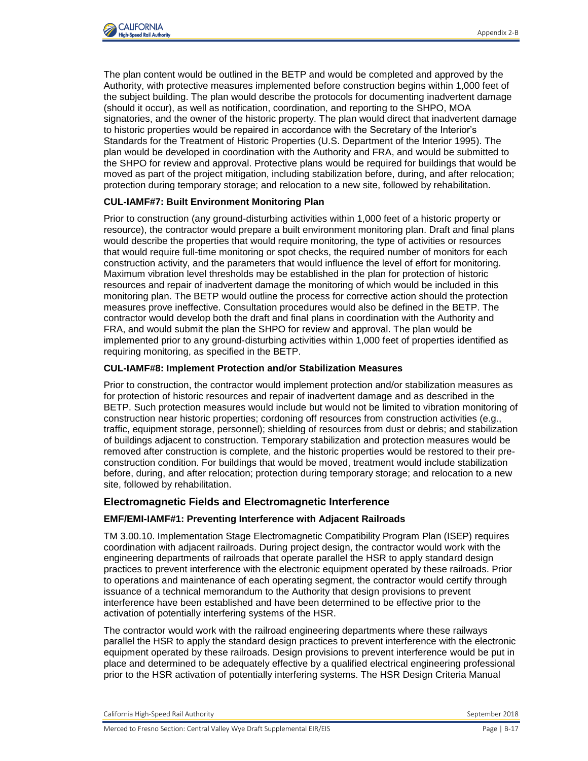

The plan content would be outlined in the BETP and would be completed and approved by the Authority, with protective measures implemented before construction begins within 1,000 feet of the subject building. The plan would describe the protocols for documenting inadvertent damage (should it occur), as well as notification, coordination, and reporting to the SHPO, MOA signatories, and the owner of the historic property. The plan would direct that inadvertent damage to historic properties would be repaired in accordance with the Secretary of the Interior's Standards for the Treatment of Historic Properties (U.S. Department of the Interior 1995). The plan would be developed in coordination with the Authority and FRA, and would be submitted to the SHPO for review and approval. Protective plans would be required for buildings that would be moved as part of the project mitigation, including stabilization before, during, and after relocation; protection during temporary storage; and relocation to a new site, followed by rehabilitation.

#### **CUL-IAMF#7: Built Environment Monitoring Plan**

Prior to construction (any ground-disturbing activities within 1,000 feet of a historic property or resource), the contractor would prepare a built environment monitoring plan. Draft and final plans would describe the properties that would require monitoring, the type of activities or resources that would require full-time monitoring or spot checks, the required number of monitors for each construction activity, and the parameters that would influence the level of effort for monitoring. Maximum vibration level thresholds may be established in the plan for protection of historic resources and repair of inadvertent damage the monitoring of which would be included in this monitoring plan. The BETP would outline the process for corrective action should the protection measures prove ineffective. Consultation procedures would also be defined in the BETP. The contractor would develop both the draft and final plans in coordination with the Authority and FRA, and would submit the plan the SHPO for review and approval. The plan would be implemented prior to any ground-disturbing activities within 1,000 feet of properties identified as requiring monitoring, as specified in the BETP.

#### **CUL-IAMF#8: Implement Protection and/or Stabilization Measures**

Prior to construction, the contractor would implement protection and/or stabilization measures as for protection of historic resources and repair of inadvertent damage and as described in the BETP. Such protection measures would include but would not be limited to vibration monitoring of construction near historic properties; cordoning off resources from construction activities (e.g., traffic, equipment storage, personnel); shielding of resources from dust or debris; and stabilization of buildings adjacent to construction. Temporary stabilization and protection measures would be removed after construction is complete, and the historic properties would be restored to their preconstruction condition. For buildings that would be moved, treatment would include stabilization before, during, and after relocation; protection during temporary storage; and relocation to a new site, followed by rehabilitation.

# **Electromagnetic Fields and Electromagnetic Interference**

### **EMF/EMI-IAMF#1: Preventing Interference with Adjacent Railroads**

TM 3.00.10. Implementation Stage Electromagnetic Compatibility Program Plan (ISEP) requires coordination with adjacent railroads. During project design, the contractor would work with the engineering departments of railroads that operate parallel the HSR to apply standard design practices to prevent interference with the electronic equipment operated by these railroads. Prior to operations and maintenance of each operating segment, the contractor would certify through issuance of a technical memorandum to the Authority that design provisions to prevent interference have been established and have been determined to be effective prior to the activation of potentially interfering systems of the HSR.

The contractor would work with the railroad engineering departments where these railways parallel the HSR to apply the standard design practices to prevent interference with the electronic equipment operated by these railroads. Design provisions to prevent interference would be put in place and determined to be adequately effective by a qualified electrical engineering professional prior to the HSR activation of potentially interfering systems. The HSR Design Criteria Manual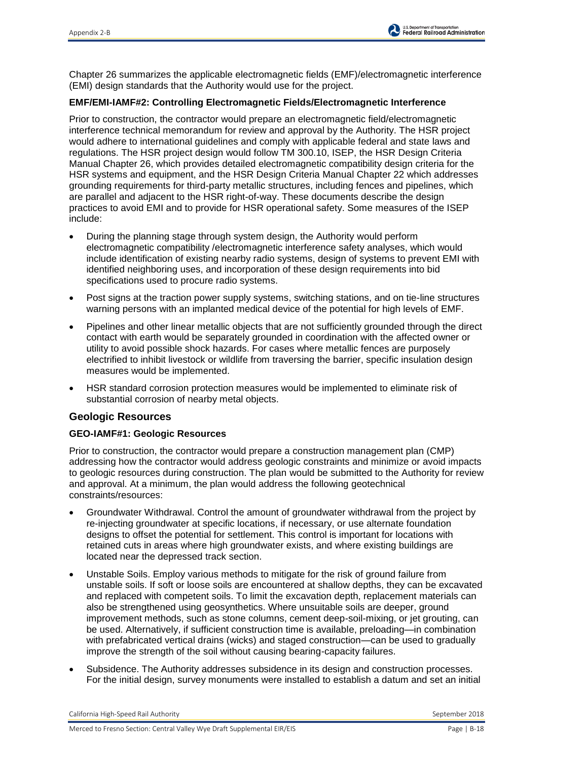Chapter 26 summarizes the applicable electromagnetic fields (EMF)/electromagnetic interference (EMI) design standards that the Authority would use for the project.

### **EMF/EMI-IAMF#2: Controlling Electromagnetic Fields/Electromagnetic Interference**

Prior to construction, the contractor would prepare an electromagnetic field/electromagnetic interference technical memorandum for review and approval by the Authority. The HSR project would adhere to international guidelines and comply with applicable federal and state laws and regulations. The HSR project design would follow TM 300.10, ISEP, the HSR Design Criteria Manual Chapter 26, which provides detailed electromagnetic compatibility design criteria for the HSR systems and equipment, and the HSR Design Criteria Manual Chapter 22 which addresses grounding requirements for third-party metallic structures, including fences and pipelines, which are parallel and adjacent to the HSR right-of-way. These documents describe the design practices to avoid EMI and to provide for HSR operational safety. Some measures of the ISEP include:

- During the planning stage through system design, the Authority would perform electromagnetic compatibility /electromagnetic interference safety analyses, which would include identification of existing nearby radio systems, design of systems to prevent EMI with identified neighboring uses, and incorporation of these design requirements into bid specifications used to procure radio systems.
- Post signs at the traction power supply systems, switching stations, and on tie-line structures warning persons with an implanted medical device of the potential for high levels of EMF.
- Pipelines and other linear metallic objects that are not sufficiently grounded through the direct contact with earth would be separately grounded in coordination with the affected owner or utility to avoid possible shock hazards. For cases where metallic fences are purposely electrified to inhibit livestock or wildlife from traversing the barrier, specific insulation design measures would be implemented.
- HSR standard corrosion protection measures would be implemented to eliminate risk of substantial corrosion of nearby metal objects.

# **Geologic Resources**

### **GEO-IAMF#1: Geologic Resources**

Prior to construction, the contractor would prepare a construction management plan (CMP) addressing how the contractor would address geologic constraints and minimize or avoid impacts to geologic resources during construction. The plan would be submitted to the Authority for review and approval. At a minimum, the plan would address the following geotechnical constraints/resources:

- Groundwater Withdrawal. Control the amount of groundwater withdrawal from the project by re-injecting groundwater at specific locations, if necessary, or use alternate foundation designs to offset the potential for settlement. This control is important for locations with retained cuts in areas where high groundwater exists, and where existing buildings are located near the depressed track section.
- Unstable Soils. Employ various methods to mitigate for the risk of ground failure from unstable soils. If soft or loose soils are encountered at shallow depths, they can be excavated and replaced with competent soils. To limit the excavation depth, replacement materials can also be strengthened using geosynthetics. Where unsuitable soils are deeper, ground improvement methods, such as stone columns, cement deep-soil-mixing, or jet grouting, can be used. Alternatively, if sufficient construction time is available, preloading—in combination with prefabricated vertical drains (wicks) and staged construction—can be used to gradually improve the strength of the soil without causing bearing-capacity failures.
- Subsidence. The Authority addresses subsidence in its design and construction processes. For the initial design, survey monuments were installed to establish a datum and set an initial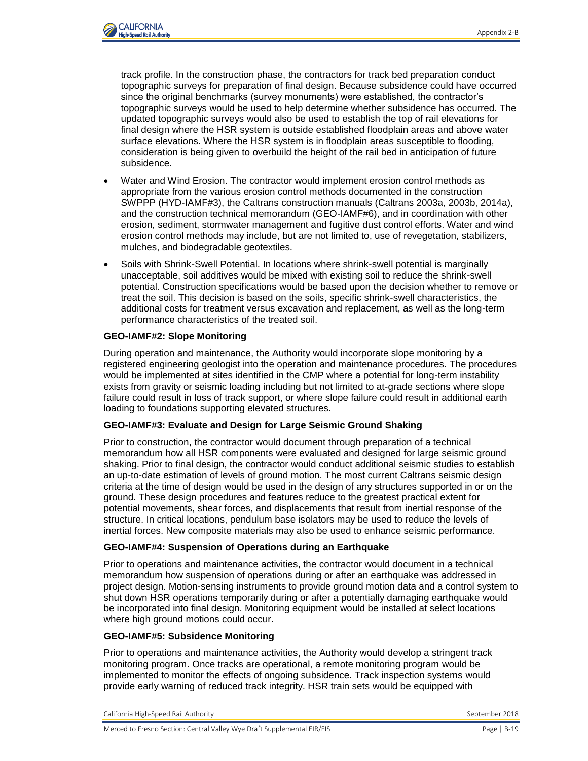

track profile. In the construction phase, the contractors for track bed preparation conduct topographic surveys for preparation of final design. Because subsidence could have occurred since the original benchmarks (survey monuments) were established, the contractor's topographic surveys would be used to help determine whether subsidence has occurred. The updated topographic surveys would also be used to establish the top of rail elevations for final design where the HSR system is outside established floodplain areas and above water surface elevations. Where the HSR system is in floodplain areas susceptible to flooding, consideration is being given to overbuild the height of the rail bed in anticipation of future subsidence.

- Water and Wind Erosion. The contractor would implement erosion control methods as appropriate from the various erosion control methods documented in the construction SWPPP (HYD-IAMF#3), the Caltrans construction manuals (Caltrans 2003a, 2003b, 2014a), and the construction technical memorandum (GEO-IAMF#6), and in coordination with other erosion, sediment, stormwater management and fugitive dust control efforts. Water and wind erosion control methods may include, but are not limited to, use of revegetation, stabilizers, mulches, and biodegradable geotextiles.
- Soils with Shrink-Swell Potential. In locations where shrink-swell potential is marginally unacceptable, soil additives would be mixed with existing soil to reduce the shrink-swell potential. Construction specifications would be based upon the decision whether to remove or treat the soil. This decision is based on the soils, specific shrink-swell characteristics, the additional costs for treatment versus excavation and replacement, as well as the long-term performance characteristics of the treated soil.

## **GEO-IAMF#2: Slope Monitoring**

During operation and maintenance, the Authority would incorporate slope monitoring by a registered engineering geologist into the operation and maintenance procedures. The procedures would be implemented at sites identified in the CMP where a potential for long-term instability exists from gravity or seismic loading including but not limited to at-grade sections where slope failure could result in loss of track support, or where slope failure could result in additional earth loading to foundations supporting elevated structures.

### **GEO-IAMF#3: Evaluate and Design for Large Seismic Ground Shaking**

Prior to construction, the contractor would document through preparation of a technical memorandum how all HSR components were evaluated and designed for large seismic ground shaking. Prior to final design, the contractor would conduct additional seismic studies to establish an up-to-date estimation of levels of ground motion. The most current Caltrans seismic design criteria at the time of design would be used in the design of any structures supported in or on the ground. These design procedures and features reduce to the greatest practical extent for potential movements, shear forces, and displacements that result from inertial response of the structure. In critical locations, pendulum base isolators may be used to reduce the levels of inertial forces. New composite materials may also be used to enhance seismic performance.

### **GEO-IAMF#4: Suspension of Operations during an Earthquake**

Prior to operations and maintenance activities, the contractor would document in a technical memorandum how suspension of operations during or after an earthquake was addressed in project design. Motion-sensing instruments to provide ground motion data and a control system to shut down HSR operations temporarily during or after a potentially damaging earthquake would be incorporated into final design. Monitoring equipment would be installed at select locations where high ground motions could occur.

### **GEO-IAMF#5: Subsidence Monitoring**

Prior to operations and maintenance activities, the Authority would develop a stringent track monitoring program. Once tracks are operational, a remote monitoring program would be implemented to monitor the effects of ongoing subsidence. Track inspection systems would provide early warning of reduced track integrity. HSR train sets would be equipped with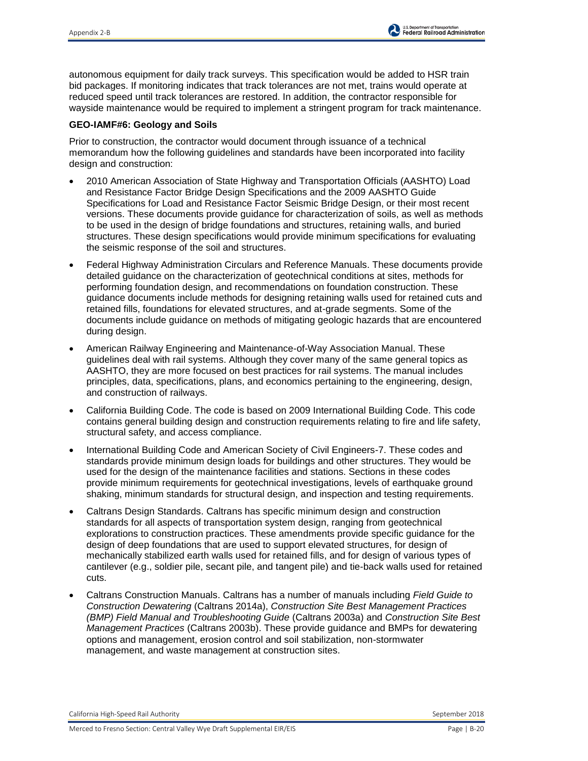autonomous equipment for daily track surveys. This specification would be added to HSR train bid packages. If monitoring indicates that track tolerances are not met, trains would operate at reduced speed until track tolerances are restored. In addition, the contractor responsible for wayside maintenance would be required to implement a stringent program for track maintenance.

### **GEO-IAMF#6: Geology and Soils**

Prior to construction, the contractor would document through issuance of a technical memorandum how the following guidelines and standards have been incorporated into facility design and construction:

- 2010 American Association of State Highway and Transportation Officials (AASHTO) Load and Resistance Factor Bridge Design Specifications and the 2009 AASHTO Guide Specifications for Load and Resistance Factor Seismic Bridge Design, or their most recent versions. These documents provide guidance for characterization of soils, as well as methods to be used in the design of bridge foundations and structures, retaining walls, and buried structures. These design specifications would provide minimum specifications for evaluating the seismic response of the soil and structures.
- Federal Highway Administration Circulars and Reference Manuals. These documents provide detailed guidance on the characterization of geotechnical conditions at sites, methods for performing foundation design, and recommendations on foundation construction. These guidance documents include methods for designing retaining walls used for retained cuts and retained fills, foundations for elevated structures, and at-grade segments. Some of the documents include guidance on methods of mitigating geologic hazards that are encountered during design.
- American Railway Engineering and Maintenance-of-Way Association Manual. These guidelines deal with rail systems. Although they cover many of the same general topics as AASHTO, they are more focused on best practices for rail systems. The manual includes principles, data, specifications, plans, and economics pertaining to the engineering, design, and construction of railways.
- California Building Code. The code is based on 2009 International Building Code. This code contains general building design and construction requirements relating to fire and life safety, structural safety, and access compliance.
- International Building Code and American Society of Civil Engineers-7. These codes and standards provide minimum design loads for buildings and other structures. They would be used for the design of the maintenance facilities and stations. Sections in these codes provide minimum requirements for geotechnical investigations, levels of earthquake ground shaking, minimum standards for structural design, and inspection and testing requirements.
- Caltrans Design Standards. Caltrans has specific minimum design and construction standards for all aspects of transportation system design, ranging from geotechnical explorations to construction practices. These amendments provide specific guidance for the design of deep foundations that are used to support elevated structures, for design of mechanically stabilized earth walls used for retained fills, and for design of various types of cantilever (e.g., soldier pile, secant pile, and tangent pile) and tie-back walls used for retained cuts.
- Caltrans Construction Manuals. Caltrans has a number of manuals including *Field Guide to Construction Dewatering* (Caltrans 2014a), *Construction Site Best Management Practices (BMP) Field Manual and Troubleshooting Guide* (Caltrans 2003a) and *Construction Site Best Management Practices* (Caltrans 2003b). These provide guidance and BMPs for dewatering options and management, erosion control and soil stabilization, non-stormwater management, and waste management at construction sites.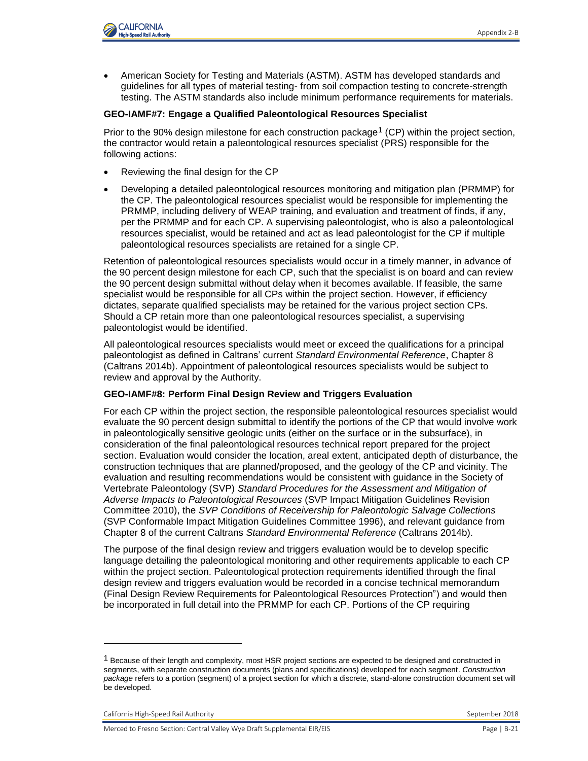

 American Society for Testing and Materials (ASTM). ASTM has developed standards and guidelines for all types of material testing- from soil compaction testing to concrete-strength testing. The ASTM standards also include minimum performance requirements for materials.

#### **GEO-IAMF#7: Engage a Qualified Paleontological Resources Specialist**

Prior to the 90% design milestone for each construction package<sup>1</sup> (CP) within the project section, the contractor would retain a paleontological resources specialist (PRS) responsible for the following actions:

- Reviewing the final design for the CP
- Developing a detailed paleontological resources monitoring and mitigation plan (PRMMP) for the CP. The paleontological resources specialist would be responsible for implementing the PRMMP, including delivery of WEAP training, and evaluation and treatment of finds, if any, per the PRMMP and for each CP. A supervising paleontologist, who is also a paleontological resources specialist, would be retained and act as lead paleontologist for the CP if multiple paleontological resources specialists are retained for a single CP.

Retention of paleontological resources specialists would occur in a timely manner, in advance of the 90 percent design milestone for each CP, such that the specialist is on board and can review the 90 percent design submittal without delay when it becomes available. If feasible, the same specialist would be responsible for all CPs within the project section. However, if efficiency dictates, separate qualified specialists may be retained for the various project section CPs. Should a CP retain more than one paleontological resources specialist, a supervising paleontologist would be identified.

All paleontological resources specialists would meet or exceed the qualifications for a principal paleontologist as defined in Caltrans' current *Standard Environmental Reference*, Chapter 8 (Caltrans 2014b). Appointment of paleontological resources specialists would be subject to review and approval by the Authority.

### **GEO-IAMF#8: Perform Final Design Review and Triggers Evaluation**

For each CP within the project section, the responsible paleontological resources specialist would evaluate the 90 percent design submittal to identify the portions of the CP that would involve work in paleontologically sensitive geologic units (either on the surface or in the subsurface), in consideration of the final paleontological resources technical report prepared for the project section. Evaluation would consider the location, areal extent, anticipated depth of disturbance, the construction techniques that are planned/proposed, and the geology of the CP and vicinity. The evaluation and resulting recommendations would be consistent with guidance in the Society of Vertebrate Paleontology (SVP) *Standard Procedures for the Assessment and Mitigation of Adverse Impacts to Paleontological Resources* (SVP Impact Mitigation Guidelines Revision Committee 2010), the *SVP Conditions of Receivership for Paleontologic Salvage Collections* (SVP Conformable Impact Mitigation Guidelines Committee 1996), and relevant guidance from Chapter 8 of the current Caltrans *Standard Environmental Reference* (Caltrans 2014b).

The purpose of the final design review and triggers evaluation would be to develop specific language detailing the paleontological monitoring and other requirements applicable to each CP within the project section. Paleontological protection requirements identified through the final design review and triggers evaluation would be recorded in a concise technical memorandum (Final Design Review Requirements for Paleontological Resources Protection") and would then be incorporated in full detail into the PRMMP for each CP. Portions of the CP requiring

l

 $1$  Because of their length and complexity, most HSR project sections are expected to be designed and constructed in segments, with separate construction documents (plans and specifications) developed for each segment. *Construction package* refers to a portion (segment) of a project section for which a discrete, stand-alone construction document set will be developed.

California High-Speed Rail Authority **September 2018** September 2018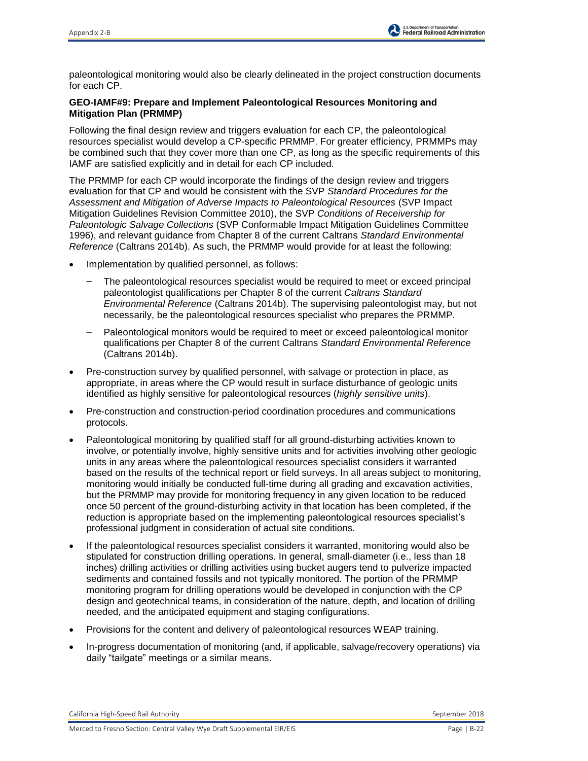paleontological monitoring would also be clearly delineated in the project construction documents for each CP.

## **GEO-IAMF#9: Prepare and Implement Paleontological Resources Monitoring and Mitigation Plan (PRMMP)**

Following the final design review and triggers evaluation for each CP, the paleontological resources specialist would develop a CP-specific PRMMP. For greater efficiency, PRMMPs may be combined such that they cover more than one CP, as long as the specific requirements of this IAMF are satisfied explicitly and in detail for each CP included.

The PRMMP for each CP would incorporate the findings of the design review and triggers evaluation for that CP and would be consistent with the SVP *Standard Procedures for the Assessment and Mitigation of Adverse Impacts to Paleontological Resources* (SVP Impact Mitigation Guidelines Revision Committee 2010), the SVP *Conditions of Receivership for Paleontologic Salvage Collections* (SVP Conformable Impact Mitigation Guidelines Committee 1996), and relevant guidance from Chapter 8 of the current Caltrans *Standard Environmental Reference* (Caltrans 2014b). As such, the PRMMP would provide for at least the following:

- Implementation by qualified personnel, as follows:
	- The paleontological resources specialist would be required to meet or exceed principal paleontologist qualifications per Chapter 8 of the current *Caltrans Standard Environmental Reference* (Caltrans 2014b). The supervising paleontologist may, but not necessarily, be the paleontological resources specialist who prepares the PRMMP.
	- Paleontological monitors would be required to meet or exceed paleontological monitor qualifications per Chapter 8 of the current Caltrans *Standard Environmental Reference* (Caltrans 2014b).
- Pre-construction survey by qualified personnel, with salvage or protection in place, as appropriate, in areas where the CP would result in surface disturbance of geologic units identified as highly sensitive for paleontological resources (*highly sensitive units*).
- Pre-construction and construction-period coordination procedures and communications protocols.
- Paleontological monitoring by qualified staff for all ground-disturbing activities known to involve, or potentially involve, highly sensitive units and for activities involving other geologic units in any areas where the paleontological resources specialist considers it warranted based on the results of the technical report or field surveys. In all areas subject to monitoring, monitoring would initially be conducted full-time during all grading and excavation activities, but the PRMMP may provide for monitoring frequency in any given location to be reduced once 50 percent of the ground-disturbing activity in that location has been completed, if the reduction is appropriate based on the implementing paleontological resources specialist's professional judgment in consideration of actual site conditions.
- If the paleontological resources specialist considers it warranted, monitoring would also be stipulated for construction drilling operations. In general, small-diameter (i.e., less than 18 inches) drilling activities or drilling activities using bucket augers tend to pulverize impacted sediments and contained fossils and not typically monitored. The portion of the PRMMP monitoring program for drilling operations would be developed in conjunction with the CP design and geotechnical teams, in consideration of the nature, depth, and location of drilling needed, and the anticipated equipment and staging configurations.
- Provisions for the content and delivery of paleontological resources WEAP training.
- In-progress documentation of monitoring (and, if applicable, salvage/recovery operations) via daily "tailgate" meetings or a similar means.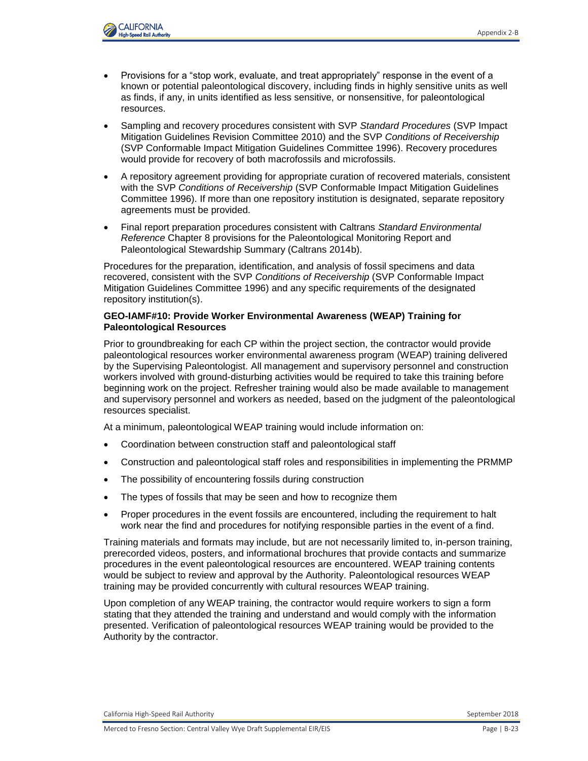

- Provisions for a "stop work, evaluate, and treat appropriately" response in the event of a known or potential paleontological discovery, including finds in highly sensitive units as well as finds, if any, in units identified as less sensitive, or nonsensitive, for paleontological resources.
- Sampling and recovery procedures consistent with SVP *Standard Procedures* (SVP Impact Mitigation Guidelines Revision Committee 2010) and the SVP *Conditions of Receivership* (SVP Conformable Impact Mitigation Guidelines Committee 1996). Recovery procedures would provide for recovery of both macrofossils and microfossils.
- A repository agreement providing for appropriate curation of recovered materials, consistent with the SVP *Conditions of Receivership* (SVP Conformable Impact Mitigation Guidelines Committee 1996). If more than one repository institution is designated, separate repository agreements must be provided.
- Final report preparation procedures consistent with Caltrans *Standard Environmental Reference* Chapter 8 provisions for the Paleontological Monitoring Report and Paleontological Stewardship Summary (Caltrans 2014b).

Procedures for the preparation, identification, and analysis of fossil specimens and data recovered, consistent with the SVP *Conditions of Receivership* (SVP Conformable Impact Mitigation Guidelines Committee 1996) and any specific requirements of the designated repository institution(s).

#### **GEO-IAMF#10: Provide Worker Environmental Awareness (WEAP) Training for Paleontological Resources**

Prior to groundbreaking for each CP within the project section, the contractor would provide paleontological resources worker environmental awareness program (WEAP) training delivered by the Supervising Paleontologist. All management and supervisory personnel and construction workers involved with ground-disturbing activities would be required to take this training before beginning work on the project. Refresher training would also be made available to management and supervisory personnel and workers as needed, based on the judgment of the paleontological resources specialist.

At a minimum, paleontological WEAP training would include information on:

- Coordination between construction staff and paleontological staff
- Construction and paleontological staff roles and responsibilities in implementing the PRMMP
- The possibility of encountering fossils during construction
- The types of fossils that may be seen and how to recognize them
- Proper procedures in the event fossils are encountered, including the requirement to halt work near the find and procedures for notifying responsible parties in the event of a find.

Training materials and formats may include, but are not necessarily limited to, in-person training, prerecorded videos, posters, and informational brochures that provide contacts and summarize procedures in the event paleontological resources are encountered. WEAP training contents would be subject to review and approval by the Authority. Paleontological resources WEAP training may be provided concurrently with cultural resources WEAP training.

Upon completion of any WEAP training, the contractor would require workers to sign a form stating that they attended the training and understand and would comply with the information presented. Verification of paleontological resources WEAP training would be provided to the Authority by the contractor.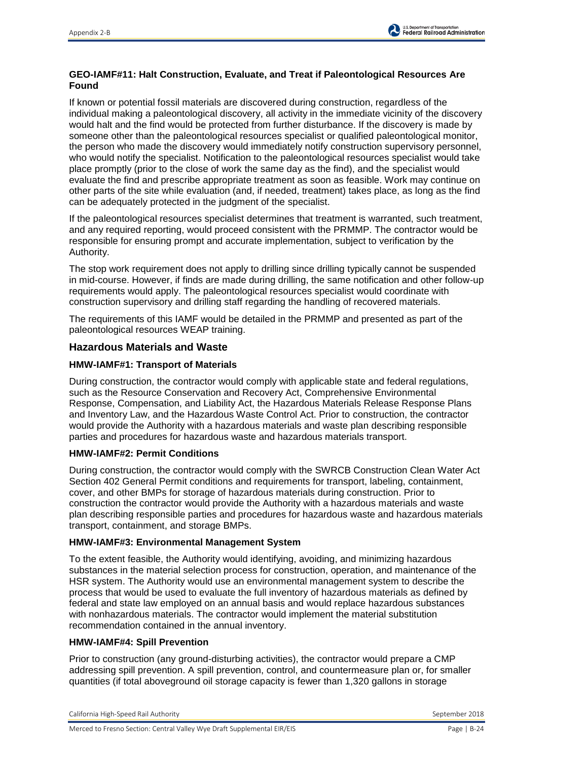# **GEO-IAMF#11: Halt Construction, Evaluate, and Treat if Paleontological Resources Are Found**

If known or potential fossil materials are discovered during construction, regardless of the individual making a paleontological discovery, all activity in the immediate vicinity of the discovery would halt and the find would be protected from further disturbance. If the discovery is made by someone other than the paleontological resources specialist or qualified paleontological monitor, the person who made the discovery would immediately notify construction supervisory personnel, who would notify the specialist. Notification to the paleontological resources specialist would take place promptly (prior to the close of work the same day as the find), and the specialist would evaluate the find and prescribe appropriate treatment as soon as feasible. Work may continue on other parts of the site while evaluation (and, if needed, treatment) takes place, as long as the find can be adequately protected in the judgment of the specialist.

If the paleontological resources specialist determines that treatment is warranted, such treatment, and any required reporting, would proceed consistent with the PRMMP. The contractor would be responsible for ensuring prompt and accurate implementation, subject to verification by the Authority.

The stop work requirement does not apply to drilling since drilling typically cannot be suspended in mid-course. However, if finds are made during drilling, the same notification and other follow-up requirements would apply. The paleontological resources specialist would coordinate with construction supervisory and drilling staff regarding the handling of recovered materials.

The requirements of this IAMF would be detailed in the PRMMP and presented as part of the paleontological resources WEAP training.

## **Hazardous Materials and Waste**

## **HMW-IAMF#1: Transport of Materials**

During construction, the contractor would comply with applicable state and federal regulations, such as the Resource Conservation and Recovery Act, Comprehensive Environmental Response, Compensation, and Liability Act, the Hazardous Materials Release Response Plans and Inventory Law, and the Hazardous Waste Control Act. Prior to construction, the contractor would provide the Authority with a hazardous materials and waste plan describing responsible parties and procedures for hazardous waste and hazardous materials transport.

### **HMW-IAMF#2: Permit Conditions**

During construction, the contractor would comply with the SWRCB Construction Clean Water Act Section 402 General Permit conditions and requirements for transport, labeling, containment, cover, and other BMPs for storage of hazardous materials during construction. Prior to construction the contractor would provide the Authority with a hazardous materials and waste plan describing responsible parties and procedures for hazardous waste and hazardous materials transport, containment, and storage BMPs.

## **HMW-IAMF#3: Environmental Management System**

To the extent feasible, the Authority would identifying, avoiding, and minimizing hazardous substances in the material selection process for construction, operation, and maintenance of the HSR system. The Authority would use an environmental management system to describe the process that would be used to evaluate the full inventory of hazardous materials as defined by federal and state law employed on an annual basis and would replace hazardous substances with nonhazardous materials. The contractor would implement the material substitution recommendation contained in the annual inventory.

### **HMW-IAMF#4: Spill Prevention**

Prior to construction (any ground-disturbing activities), the contractor would prepare a CMP addressing spill prevention. A spill prevention, control, and countermeasure plan or, for smaller quantities (if total aboveground oil storage capacity is fewer than 1,320 gallons in storage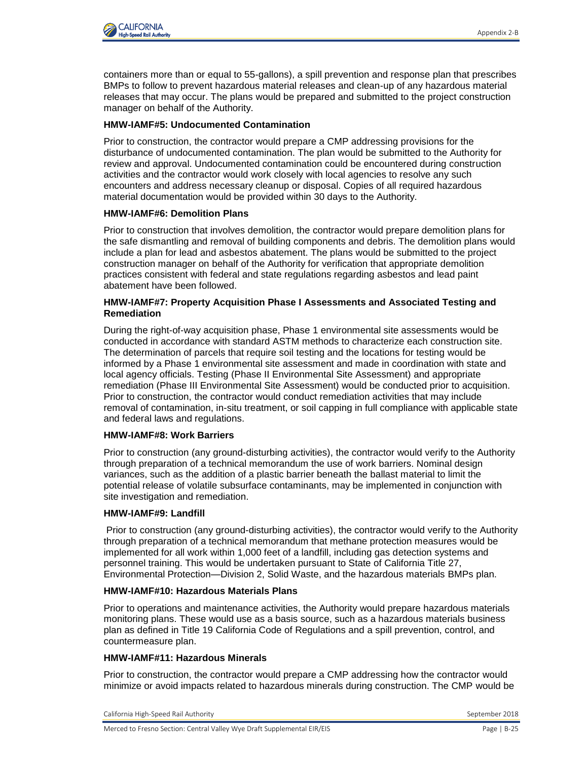

containers more than or equal to 55-gallons), a spill prevention and response plan that prescribes BMPs to follow to prevent hazardous material releases and clean-up of any hazardous material releases that may occur. The plans would be prepared and submitted to the project construction manager on behalf of the Authority.

#### **HMW-IAMF#5: Undocumented Contamination**

Prior to construction, the contractor would prepare a CMP addressing provisions for the disturbance of undocumented contamination. The plan would be submitted to the Authority for review and approval. Undocumented contamination could be encountered during construction activities and the contractor would work closely with local agencies to resolve any such encounters and address necessary cleanup or disposal. Copies of all required hazardous material documentation would be provided within 30 days to the Authority.

#### **HMW-IAMF#6: Demolition Plans**

Prior to construction that involves demolition, the contractor would prepare demolition plans for the safe dismantling and removal of building components and debris. The demolition plans would include a plan for lead and asbestos abatement. The plans would be submitted to the project construction manager on behalf of the Authority for verification that appropriate demolition practices consistent with federal and state regulations regarding asbestos and lead paint abatement have been followed.

#### **HMW-IAMF#7: Property Acquisition Phase I Assessments and Associated Testing and Remediation**

During the right-of-way acquisition phase, Phase 1 environmental site assessments would be conducted in accordance with standard ASTM methods to characterize each construction site. The determination of parcels that require soil testing and the locations for testing would be informed by a Phase 1 environmental site assessment and made in coordination with state and local agency officials. Testing (Phase II Environmental Site Assessment) and appropriate remediation (Phase III Environmental Site Assessment) would be conducted prior to acquisition. Prior to construction, the contractor would conduct remediation activities that may include removal of contamination, in-situ treatment, or soil capping in full compliance with applicable state and federal laws and regulations.

### **HMW-IAMF#8: Work Barriers**

Prior to construction (any ground-disturbing activities), the contractor would verify to the Authority through preparation of a technical memorandum the use of work barriers. Nominal design variances, such as the addition of a plastic barrier beneath the ballast material to limit the potential release of volatile subsurface contaminants, may be implemented in conjunction with site investigation and remediation.

#### **HMW-IAMF#9: Landfill**

Prior to construction (any ground-disturbing activities), the contractor would verify to the Authority through preparation of a technical memorandum that methane protection measures would be implemented for all work within 1,000 feet of a landfill, including gas detection systems and personnel training. This would be undertaken pursuant to State of California Title 27, Environmental Protection—Division 2, Solid Waste, and the hazardous materials BMPs plan.

#### **HMW-IAMF#10: Hazardous Materials Plans**

Prior to operations and maintenance activities, the Authority would prepare hazardous materials monitoring plans. These would use as a basis source, such as a hazardous materials business plan as defined in Title 19 California Code of Regulations and a spill prevention, control, and countermeasure plan.

### **HMW-IAMF#11: Hazardous Minerals**

Prior to construction, the contractor would prepare a CMP addressing how the contractor would minimize or avoid impacts related to hazardous minerals during construction. The CMP would be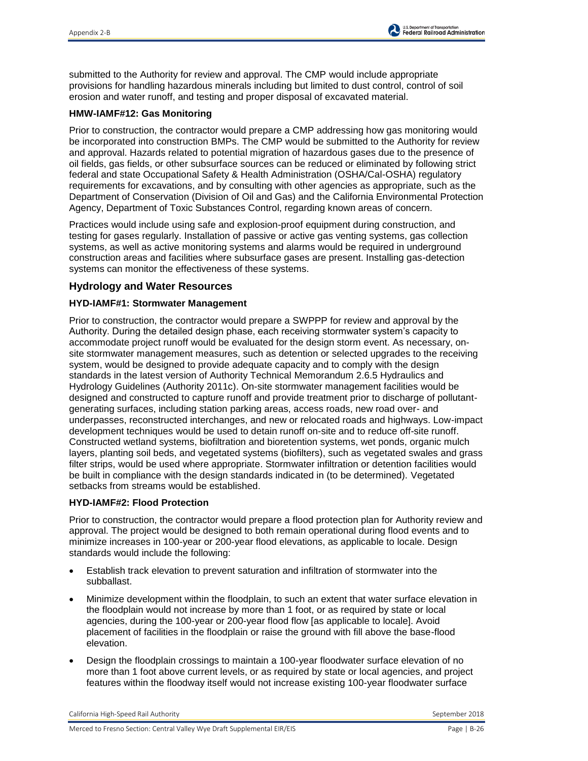submitted to the Authority for review and approval. The CMP would include appropriate provisions for handling hazardous minerals including but limited to dust control, control of soil erosion and water runoff, and testing and proper disposal of excavated material.

### **HMW-IAMF#12: Gas Monitoring**

Prior to construction, the contractor would prepare a CMP addressing how gas monitoring would be incorporated into construction BMPs. The CMP would be submitted to the Authority for review and approval. Hazards related to potential migration of hazardous gases due to the presence of oil fields, gas fields, or other subsurface sources can be reduced or eliminated by following strict federal and state Occupational Safety & Health Administration (OSHA/Cal-OSHA) regulatory requirements for excavations, and by consulting with other agencies as appropriate, such as the Department of Conservation (Division of Oil and Gas) and the California Environmental Protection Agency, Department of Toxic Substances Control, regarding known areas of concern.

Practices would include using safe and explosion-proof equipment during construction, and testing for gases regularly. Installation of passive or active gas venting systems, gas collection systems, as well as active monitoring systems and alarms would be required in underground construction areas and facilities where subsurface gases are present. Installing gas-detection systems can monitor the effectiveness of these systems.

# **Hydrology and Water Resources**

## **HYD-IAMF#1: Stormwater Management**

Prior to construction, the contractor would prepare a SWPPP for review and approval by the Authority. During the detailed design phase, each receiving stormwater system's capacity to accommodate project runoff would be evaluated for the design storm event. As necessary, onsite stormwater management measures, such as detention or selected upgrades to the receiving system, would be designed to provide adequate capacity and to comply with the design standards in the latest version of Authority Technical Memorandum 2.6.5 Hydraulics and Hydrology Guidelines (Authority 2011c). On-site stormwater management facilities would be designed and constructed to capture runoff and provide treatment prior to discharge of pollutantgenerating surfaces, including station parking areas, access roads, new road over- and underpasses, reconstructed interchanges, and new or relocated roads and highways. Low-impact development techniques would be used to detain runoff on-site and to reduce off-site runoff. Constructed wetland systems, biofiltration and bioretention systems, wet ponds, organic mulch layers, planting soil beds, and vegetated systems (biofilters), such as vegetated swales and grass filter strips, would be used where appropriate. Stormwater infiltration or detention facilities would be built in compliance with the design standards indicated in (to be determined). Vegetated setbacks from streams would be established.

### **HYD-IAMF#2: Flood Protection**

Prior to construction, the contractor would prepare a flood protection plan for Authority review and approval. The project would be designed to both remain operational during flood events and to minimize increases in 100-year or 200-year flood elevations, as applicable to locale. Design standards would include the following:

- Establish track elevation to prevent saturation and infiltration of stormwater into the subballast.
- Minimize development within the floodplain, to such an extent that water surface elevation in the floodplain would not increase by more than 1 foot, or as required by state or local agencies, during the 100-year or 200-year flood flow [as applicable to locale]. Avoid placement of facilities in the floodplain or raise the ground with fill above the base-flood elevation.
- Design the floodplain crossings to maintain a 100-year floodwater surface elevation of no more than 1 foot above current levels, or as required by state or local agencies, and project features within the floodway itself would not increase existing 100-year floodwater surface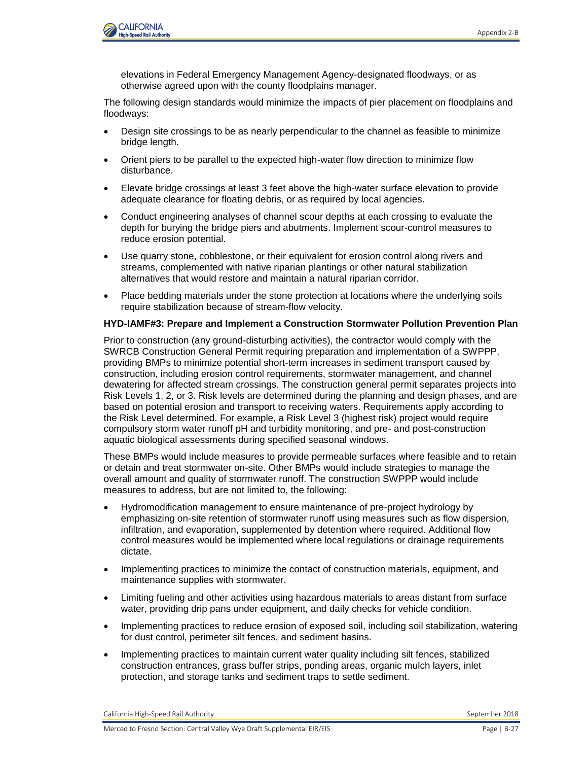

elevations in Federal Emergency Management Agency-designated floodways, or as otherwise agreed upon with the county floodplains manager.

The following design standards would minimize the impacts of pier placement on floodplains and floodways:

- Design site crossings to be as nearly perpendicular to the channel as feasible to minimize bridge length.
- Orient piers to be parallel to the expected high-water flow direction to minimize flow disturbance.
- Elevate bridge crossings at least 3 feet above the high-water surface elevation to provide adequate clearance for floating debris, or as required by local agencies.
- Conduct engineering analyses of channel scour depths at each crossing to evaluate the depth for burying the bridge piers and abutments. Implement scour-control measures to reduce erosion potential.
- Use quarry stone, cobblestone, or their equivalent for erosion control along rivers and streams, complemented with native riparian plantings or other natural stabilization alternatives that would restore and maintain a natural riparian corridor.
- Place bedding materials under the stone protection at locations where the underlying soils require stabilization because of stream-flow velocity.

#### **HYD-IAMF#3: Prepare and Implement a Construction Stormwater Pollution Prevention Plan**

Prior to construction (any ground-disturbing activities), the contractor would comply with the SWRCB Construction General Permit requiring preparation and implementation of a SWPPP, providing BMPs to minimize potential short-term increases in sediment transport caused by construction, including erosion control requirements, stormwater management, and channel dewatering for affected stream crossings. The construction general permit separates projects into Risk Levels 1, 2, or 3. Risk levels are determined during the planning and design phases, and are based on potential erosion and transport to receiving waters. Requirements apply according to the Risk Level determined. For example, a Risk Level 3 (highest risk) project would require compulsory storm water runoff pH and turbidity monitoring, and pre- and post-construction aquatic biological assessments during specified seasonal windows.

These BMPs would include measures to provide permeable surfaces where feasible and to retain or detain and treat stormwater on-site. Other BMPs would include strategies to manage the overall amount and quality of stormwater runoff. The construction SWPPP would include measures to address, but are not limited to, the following:

- Hydromodification management to ensure maintenance of pre-project hydrology by emphasizing on-site retention of stormwater runoff using measures such as flow dispersion, infiltration, and evaporation, supplemented by detention where required. Additional flow control measures would be implemented where local regulations or drainage requirements dictate.
- Implementing practices to minimize the contact of construction materials, equipment, and maintenance supplies with stormwater.
- Limiting fueling and other activities using hazardous materials to areas distant from surface water, providing drip pans under equipment, and daily checks for vehicle condition.
- Implementing practices to reduce erosion of exposed soil, including soil stabilization, watering for dust control, perimeter silt fences, and sediment basins.
- Implementing practices to maintain current water quality including silt fences, stabilized construction entrances, grass buffer strips, ponding areas, organic mulch layers, inlet protection, and storage tanks and sediment traps to settle sediment.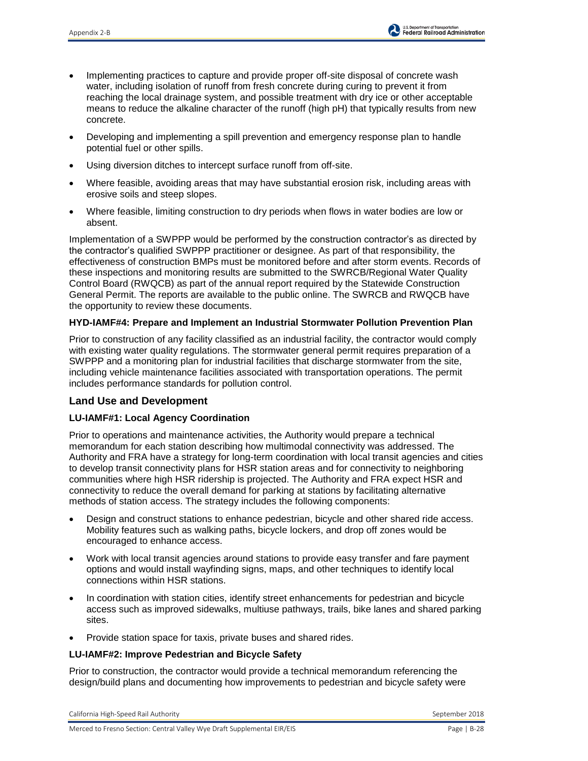- Implementing practices to capture and provide proper off-site disposal of concrete wash water, including isolation of runoff from fresh concrete during curing to prevent it from reaching the local drainage system, and possible treatment with dry ice or other acceptable means to reduce the alkaline character of the runoff (high pH) that typically results from new concrete.
- Developing and implementing a spill prevention and emergency response plan to handle potential fuel or other spills.
- Using diversion ditches to intercept surface runoff from off-site.
- Where feasible, avoiding areas that may have substantial erosion risk, including areas with erosive soils and steep slopes.
- Where feasible, limiting construction to dry periods when flows in water bodies are low or absent.

Implementation of a SWPPP would be performed by the construction contractor's as directed by the contractor's qualified SWPPP practitioner or designee. As part of that responsibility, the effectiveness of construction BMPs must be monitored before and after storm events. Records of these inspections and monitoring results are submitted to the SWRCB/Regional Water Quality Control Board (RWQCB) as part of the annual report required by the Statewide Construction General Permit. The reports are available to the public online. The SWRCB and RWQCB have the opportunity to review these documents.

# **HYD-IAMF#4: Prepare and Implement an Industrial Stormwater Pollution Prevention Plan**

Prior to construction of any facility classified as an industrial facility, the contractor would comply with existing water quality regulations. The stormwater general permit requires preparation of a SWPPP and a monitoring plan for industrial facilities that discharge stormwater from the site, including vehicle maintenance facilities associated with transportation operations. The permit includes performance standards for pollution control.

# **Land Use and Development**

# **LU-IAMF#1: Local Agency Coordination**

Prior to operations and maintenance activities, the Authority would prepare a technical memorandum for each station describing how multimodal connectivity was addressed. The Authority and FRA have a strategy for long-term coordination with local transit agencies and cities to develop transit connectivity plans for HSR station areas and for connectivity to neighboring communities where high HSR ridership is projected. The Authority and FRA expect HSR and connectivity to reduce the overall demand for parking at stations by facilitating alternative methods of station access. The strategy includes the following components:

- Design and construct stations to enhance pedestrian, bicycle and other shared ride access. Mobility features such as walking paths, bicycle lockers, and drop off zones would be encouraged to enhance access.
- Work with local transit agencies around stations to provide easy transfer and fare payment options and would install wayfinding signs, maps, and other techniques to identify local connections within HSR stations.
- In coordination with station cities, identify street enhancements for pedestrian and bicycle access such as improved sidewalks, multiuse pathways, trails, bike lanes and shared parking sites.
- Provide station space for taxis, private buses and shared rides.

# **LU-IAMF#2: Improve Pedestrian and Bicycle Safety**

Prior to construction, the contractor would provide a technical memorandum referencing the design/build plans and documenting how improvements to pedestrian and bicycle safety were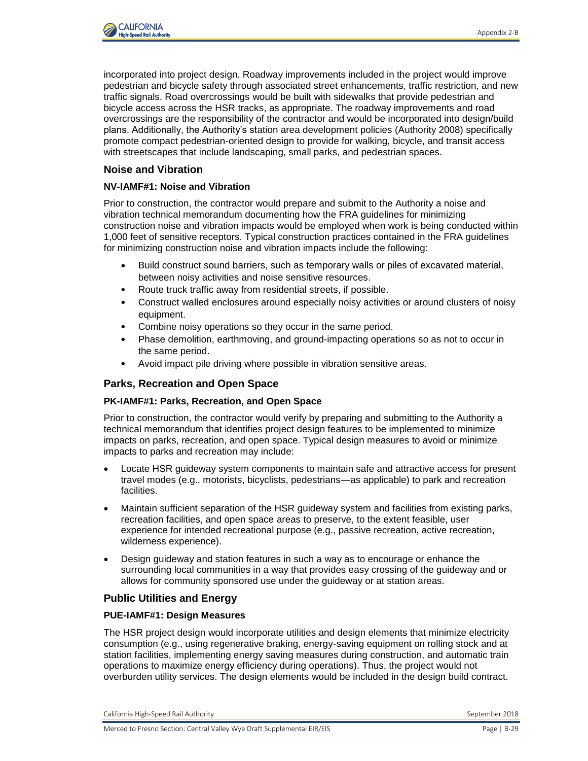

incorporated into project design. Roadway improvements included in the project would improve pedestrian and bicycle safety through associated street enhancements, traffic restriction, and new traffic signals. Road overcrossings would be built with sidewalks that provide pedestrian and bicycle access across the HSR tracks, as appropriate. The roadway improvements and road overcrossings are the responsibility of the contractor and would be incorporated into design/build plans. Additionally, the Authority's station area development policies (Authority 2008) specifically promote compact pedestrian-oriented design to provide for walking, bicycle, and transit access with streetscapes that include landscaping, small parks, and pedestrian spaces.

## **Noise and Vibration**

### **NV-IAMF#1: Noise and Vibration**

Prior to construction, the contractor would prepare and submit to the Authority a noise and vibration technical memorandum documenting how the FRA guidelines for minimizing construction noise and vibration impacts would be employed when work is being conducted within 1,000 feet of sensitive receptors. Typical construction practices contained in the FRA guidelines for minimizing construction noise and vibration impacts include the following:

- Build construct sound barriers, such as temporary walls or piles of excavated material, between noisy activities and noise sensitive resources.
- Route truck traffic away from residential streets, if possible.
- Construct walled enclosures around especially noisy activities or around clusters of noisy equipment.
- Combine noisy operations so they occur in the same period.
- Phase demolition, earthmoving, and ground-impacting operations so as not to occur in the same period.
- Avoid impact pile driving where possible in vibration sensitive areas.

# **Parks, Recreation and Open Space**

### **PK-IAMF#1: Parks, Recreation, and Open Space**

Prior to construction, the contractor would verify by preparing and submitting to the Authority a technical memorandum that identifies project design features to be implemented to minimize impacts on parks, recreation, and open space. Typical design measures to avoid or minimize impacts to parks and recreation may include:

- Locate HSR guideway system components to maintain safe and attractive access for present travel modes (e.g., motorists, bicyclists, pedestrians—as applicable) to park and recreation facilities.
- Maintain sufficient separation of the HSR guideway system and facilities from existing parks, recreation facilities, and open space areas to preserve, to the extent feasible, user experience for intended recreational purpose (e.g., passive recreation, active recreation, wilderness experience).
- Design guideway and station features in such a way as to encourage or enhance the surrounding local communities in a way that provides easy crossing of the guideway and or allows for community sponsored use under the guideway or at station areas.

# **Public Utilities and Energy**

### **PUE-IAMF#1: Design Measures**

The HSR project design would incorporate utilities and design elements that minimize electricity consumption (e.g., using regenerative braking, energy-saving equipment on rolling stock and at station facilities, implementing energy saving measures during construction, and automatic train operations to maximize energy efficiency during operations). Thus, the project would not overburden utility services. The design elements would be included in the design build contract.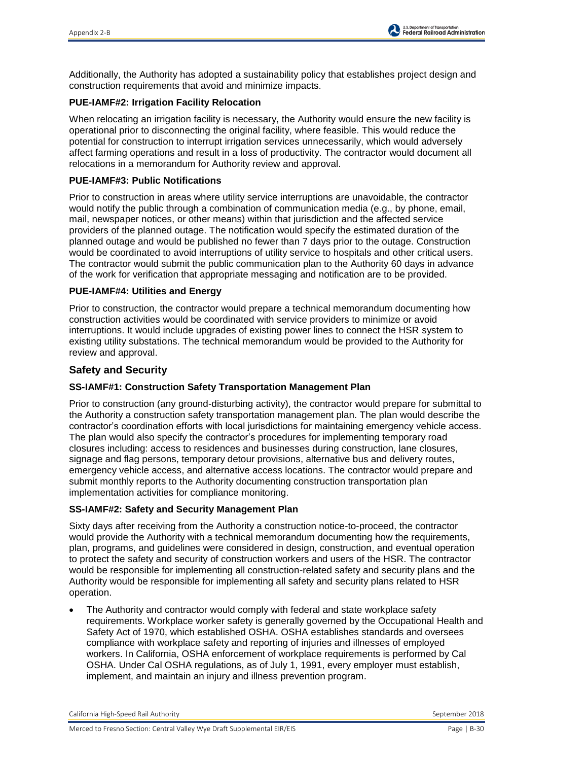Additionally, the Authority has adopted a sustainability policy that establishes project design and construction requirements that avoid and minimize impacts.

## **PUE-IAMF#2: Irrigation Facility Relocation**

When relocating an irrigation facility is necessary, the Authority would ensure the new facility is operational prior to disconnecting the original facility, where feasible. This would reduce the potential for construction to interrupt irrigation services unnecessarily, which would adversely affect farming operations and result in a loss of productivity. The contractor would document all relocations in a memorandum for Authority review and approval.

## **PUE-IAMF#3: Public Notifications**

Prior to construction in areas where utility service interruptions are unavoidable, the contractor would notify the public through a combination of communication media (e.g., by phone, email, mail, newspaper notices, or other means) within that jurisdiction and the affected service providers of the planned outage. The notification would specify the estimated duration of the planned outage and would be published no fewer than 7 days prior to the outage. Construction would be coordinated to avoid interruptions of utility service to hospitals and other critical users. The contractor would submit the public communication plan to the Authority 60 days in advance of the work for verification that appropriate messaging and notification are to be provided.

## **PUE-IAMF#4: Utilities and Energy**

Prior to construction, the contractor would prepare a technical memorandum documenting how construction activities would be coordinated with service providers to minimize or avoid interruptions. It would include upgrades of existing power lines to connect the HSR system to existing utility substations. The technical memorandum would be provided to the Authority for review and approval.

# **Safety and Security**

# **SS-IAMF#1: Construction Safety Transportation Management Plan**

Prior to construction (any ground-disturbing activity), the contractor would prepare for submittal to the Authority a construction safety transportation management plan. The plan would describe the contractor's coordination efforts with local jurisdictions for maintaining emergency vehicle access. The plan would also specify the contractor's procedures for implementing temporary road closures including: access to residences and businesses during construction, lane closures, signage and flag persons, temporary detour provisions, alternative bus and delivery routes, emergency vehicle access, and alternative access locations. The contractor would prepare and submit monthly reports to the Authority documenting construction transportation plan implementation activities for compliance monitoring.

### **SS-IAMF#2: Safety and Security Management Plan**

Sixty days after receiving from the Authority a construction notice-to-proceed, the contractor would provide the Authority with a technical memorandum documenting how the requirements, plan, programs, and guidelines were considered in design, construction, and eventual operation to protect the safety and security of construction workers and users of the HSR. The contractor would be responsible for implementing all construction-related safety and security plans and the Authority would be responsible for implementing all safety and security plans related to HSR operation.

 The Authority and contractor would comply with federal and state workplace safety requirements. Workplace worker safety is generally governed by the Occupational Health and Safety Act of 1970, which established OSHA. OSHA establishes standards and oversees compliance with workplace safety and reporting of injuries and illnesses of employed workers. In California, OSHA enforcement of workplace requirements is performed by Cal OSHA. Under Cal OSHA regulations, as of July 1, 1991, every employer must establish, implement, and maintain an injury and illness prevention program.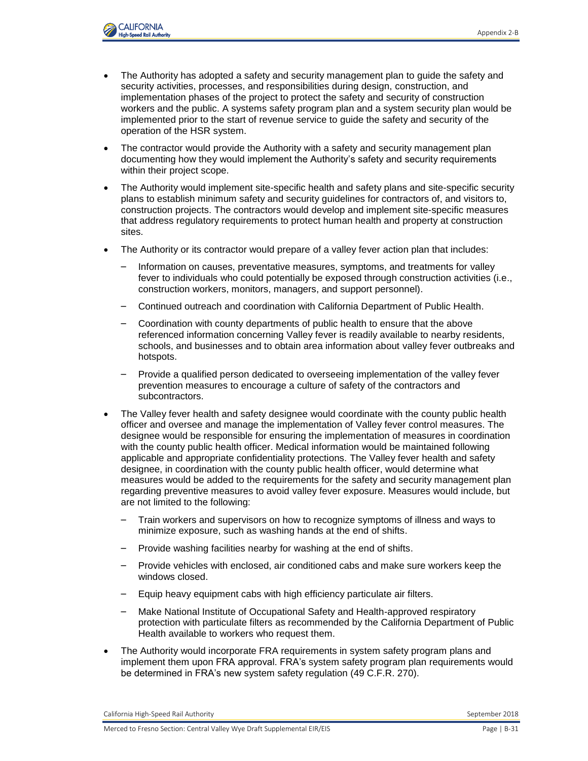

- The Authority has adopted a safety and security management plan to guide the safety and security activities, processes, and responsibilities during design, construction, and implementation phases of the project to protect the safety and security of construction workers and the public. A systems safety program plan and a system security plan would be implemented prior to the start of revenue service to guide the safety and security of the operation of the HSR system.
- The contractor would provide the Authority with a safety and security management plan documenting how they would implement the Authority's safety and security requirements within their project scope.
- The Authority would implement site-specific health and safety plans and site-specific security plans to establish minimum safety and security guidelines for contractors of, and visitors to, construction projects. The contractors would develop and implement site-specific measures that address regulatory requirements to protect human health and property at construction sites.
- The Authority or its contractor would prepare of a valley fever action plan that includes:
	- Information on causes, preventative measures, symptoms, and treatments for valley fever to individuals who could potentially be exposed through construction activities (i.e., construction workers, monitors, managers, and support personnel).
	- Continued outreach and coordination with California Department of Public Health.
	- Coordination with county departments of public health to ensure that the above referenced information concerning Valley fever is readily available to nearby residents, schools, and businesses and to obtain area information about valley fever outbreaks and hotspots.
	- Provide a qualified person dedicated to overseeing implementation of the valley fever prevention measures to encourage a culture of safety of the contractors and subcontractors.
- The Valley fever health and safety designee would coordinate with the county public health officer and oversee and manage the implementation of Valley fever control measures. The designee would be responsible for ensuring the implementation of measures in coordination with the county public health officer. Medical information would be maintained following applicable and appropriate confidentiality protections. The Valley fever health and safety designee, in coordination with the county public health officer, would determine what measures would be added to the requirements for the safety and security management plan regarding preventive measures to avoid valley fever exposure. Measures would include, but are not limited to the following:
	- Train workers and supervisors on how to recognize symptoms of illness and ways to minimize exposure, such as washing hands at the end of shifts.
	- Provide washing facilities nearby for washing at the end of shifts.
	- Provide vehicles with enclosed, air conditioned cabs and make sure workers keep the windows closed.
	- Equip heavy equipment cabs with high efficiency particulate air filters.
	- Make National Institute of Occupational Safety and Health-approved respiratory protection with particulate filters as recommended by the California Department of Public Health available to workers who request them.
- The Authority would incorporate FRA requirements in system safety program plans and implement them upon FRA approval. FRA's system safety program plan requirements would be determined in FRA's new system safety regulation (49 C.F.R. 270).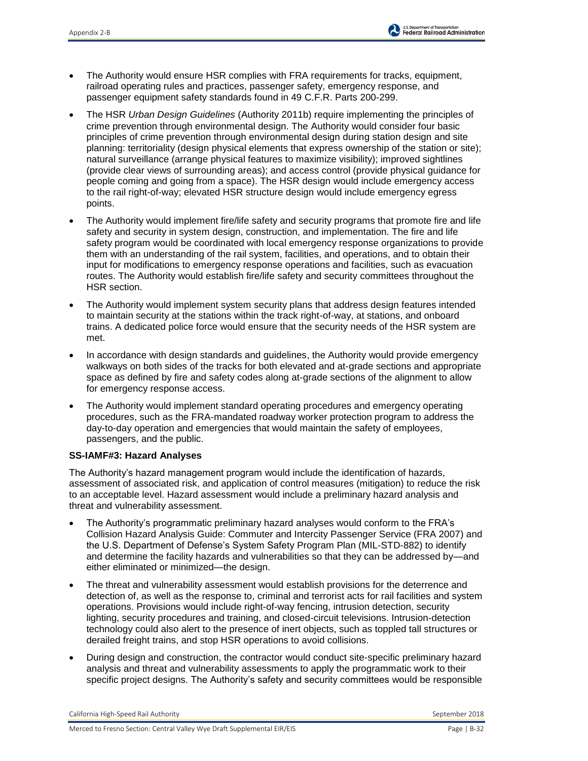- The Authority would ensure HSR complies with FRA requirements for tracks, equipment, railroad operating rules and practices, passenger safety, emergency response, and passenger equipment safety standards found in 49 C.F.R. Parts 200-299.
- The HSR *Urban Design Guidelines* (Authority 2011b) require implementing the principles of crime prevention through environmental design. The Authority would consider four basic principles of crime prevention through environmental design during station design and site planning: territoriality (design physical elements that express ownership of the station or site); natural surveillance (arrange physical features to maximize visibility); improved sightlines (provide clear views of surrounding areas); and access control (provide physical guidance for people coming and going from a space). The HSR design would include emergency access to the rail right-of-way; elevated HSR structure design would include emergency egress points.
- The Authority would implement fire/life safety and security programs that promote fire and life safety and security in system design, construction, and implementation. The fire and life safety program would be coordinated with local emergency response organizations to provide them with an understanding of the rail system, facilities, and operations, and to obtain their input for modifications to emergency response operations and facilities, such as evacuation routes. The Authority would establish fire/life safety and security committees throughout the HSR section.
- The Authority would implement system security plans that address design features intended to maintain security at the stations within the track right-of-way, at stations, and onboard trains. A dedicated police force would ensure that the security needs of the HSR system are met.
- In accordance with design standards and guidelines, the Authority would provide emergency walkways on both sides of the tracks for both elevated and at-grade sections and appropriate space as defined by fire and safety codes along at-grade sections of the alignment to allow for emergency response access.
- The Authority would implement standard operating procedures and emergency operating procedures, such as the FRA-mandated roadway worker protection program to address the day-to-day operation and emergencies that would maintain the safety of employees, passengers, and the public.

### **SS-IAMF#3: Hazard Analyses**

The Authority's hazard management program would include the identification of hazards, assessment of associated risk, and application of control measures (mitigation) to reduce the risk to an acceptable level. Hazard assessment would include a preliminary hazard analysis and threat and vulnerability assessment.

- The Authority's programmatic preliminary hazard analyses would conform to the FRA's Collision Hazard Analysis Guide: Commuter and Intercity Passenger Service (FRA 2007) and the U.S. Department of Defense's System Safety Program Plan (MIL-STD-882) to identify and determine the facility hazards and vulnerabilities so that they can be addressed by—and either eliminated or minimized—the design.
- The threat and vulnerability assessment would establish provisions for the deterrence and detection of, as well as the response to, criminal and terrorist acts for rail facilities and system operations. Provisions would include right-of-way fencing, intrusion detection, security lighting, security procedures and training, and closed-circuit televisions. Intrusion-detection technology could also alert to the presence of inert objects, such as toppled tall structures or derailed freight trains, and stop HSR operations to avoid collisions.
- During design and construction, the contractor would conduct site-specific preliminary hazard analysis and threat and vulnerability assessments to apply the programmatic work to their specific project designs. The Authority's safety and security committees would be responsible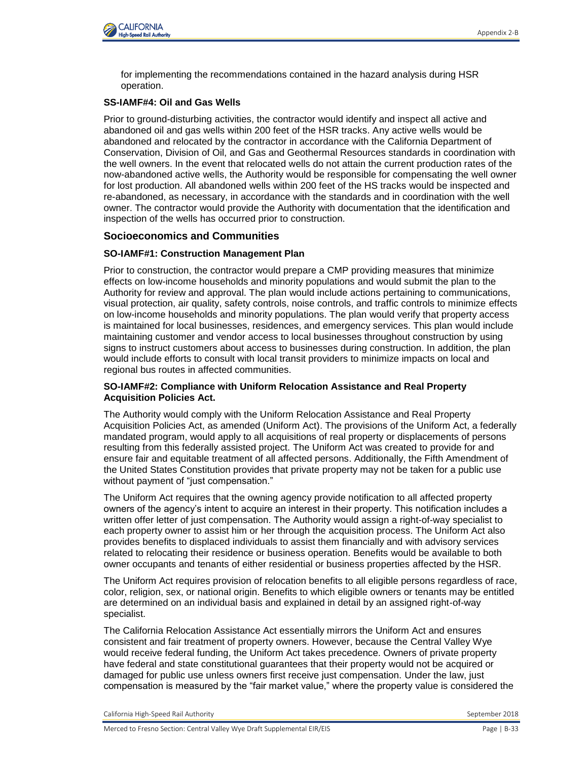

for implementing the recommendations contained in the hazard analysis during HSR operation.

### **SS-IAMF#4: Oil and Gas Wells**

Prior to ground-disturbing activities, the contractor would identify and inspect all active and abandoned oil and gas wells within 200 feet of the HSR tracks. Any active wells would be abandoned and relocated by the contractor in accordance with the California Department of Conservation, Division of Oil, and Gas and Geothermal Resources standards in coordination with the well owners. In the event that relocated wells do not attain the current production rates of the now-abandoned active wells, the Authority would be responsible for compensating the well owner for lost production. All abandoned wells within 200 feet of the HS tracks would be inspected and re-abandoned, as necessary, in accordance with the standards and in coordination with the well owner. The contractor would provide the Authority with documentation that the identification and inspection of the wells has occurred prior to construction.

# **Socioeconomics and Communities**

## **SO-IAMF#1: Construction Management Plan**

Prior to construction, the contractor would prepare a CMP providing measures that minimize effects on low-income households and minority populations and would submit the plan to the Authority for review and approval. The plan would include actions pertaining to communications, visual protection, air quality, safety controls, noise controls, and traffic controls to minimize effects on low-income households and minority populations. The plan would verify that property access is maintained for local businesses, residences, and emergency services. This plan would include maintaining customer and vendor access to local businesses throughout construction by using signs to instruct customers about access to businesses during construction. In addition, the plan would include efforts to consult with local transit providers to minimize impacts on local and regional bus routes in affected communities.

### **SO-IAMF#2: Compliance with Uniform Relocation Assistance and Real Property Acquisition Policies Act.**

The Authority would comply with the Uniform Relocation Assistance and Real Property Acquisition Policies Act, as amended (Uniform Act). The provisions of the Uniform Act, a federally mandated program, would apply to all acquisitions of real property or displacements of persons resulting from this federally assisted project. The Uniform Act was created to provide for and ensure fair and equitable treatment of all affected persons. Additionally, the Fifth Amendment of the United States Constitution provides that private property may not be taken for a public use without payment of "just compensation."

The Uniform Act requires that the owning agency provide notification to all affected property owners of the agency's intent to acquire an interest in their property. This notification includes a written offer letter of just compensation. The Authority would assign a right-of-way specialist to each property owner to assist him or her through the acquisition process. The Uniform Act also provides benefits to displaced individuals to assist them financially and with advisory services related to relocating their residence or business operation. Benefits would be available to both owner occupants and tenants of either residential or business properties affected by the HSR.

The Uniform Act requires provision of relocation benefits to all eligible persons regardless of race, color, religion, sex, or national origin. Benefits to which eligible owners or tenants may be entitled are determined on an individual basis and explained in detail by an assigned right-of-way specialist.

The California Relocation Assistance Act essentially mirrors the Uniform Act and ensures consistent and fair treatment of property owners. However, because the Central Valley Wye would receive federal funding, the Uniform Act takes precedence. Owners of private property have federal and state constitutional guarantees that their property would not be acquired or damaged for public use unless owners first receive just compensation. Under the law, just compensation is measured by the "fair market value," where the property value is considered the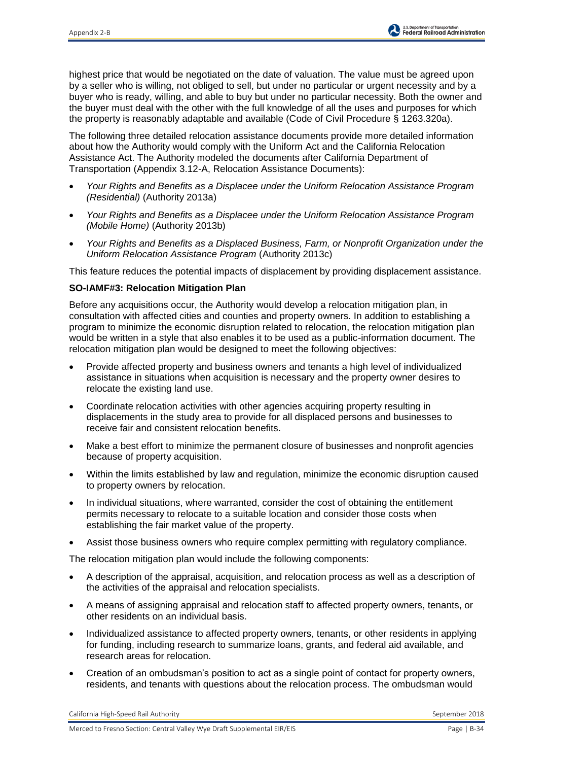highest price that would be negotiated on the date of valuation. The value must be agreed upon by a seller who is willing, not obliged to sell, but under no particular or urgent necessity and by a buyer who is ready, willing, and able to buy but under no particular necessity. Both the owner and the buyer must deal with the other with the full knowledge of all the uses and purposes for which the property is reasonably adaptable and available (Code of Civil Procedure § 1263.320a).

The following three detailed relocation assistance documents provide more detailed information about how the Authority would comply with the Uniform Act and the California Relocation Assistance Act. The Authority modeled the documents after California Department of Transportation (Appendix 3.12-A, Relocation Assistance Documents):

- *Your Rights and Benefits as a Displacee under the Uniform Relocation Assistance Program (Residential)* (Authority 2013a)
- *Your Rights and Benefits as a Displacee under the Uniform Relocation Assistance Program (Mobile Home)* (Authority 2013b)
- *Your Rights and Benefits as a Displaced Business, Farm, or Nonprofit Organization under the Uniform Relocation Assistance Program* (Authority 2013c)

This feature reduces the potential impacts of displacement by providing displacement assistance.

## **SO-IAMF#3: Relocation Mitigation Plan**

Before any acquisitions occur, the Authority would develop a relocation mitigation plan, in consultation with affected cities and counties and property owners. In addition to establishing a program to minimize the economic disruption related to relocation, the relocation mitigation plan would be written in a style that also enables it to be used as a public-information document. The relocation mitigation plan would be designed to meet the following objectives:

- Provide affected property and business owners and tenants a high level of individualized assistance in situations when acquisition is necessary and the property owner desires to relocate the existing land use.
- Coordinate relocation activities with other agencies acquiring property resulting in displacements in the study area to provide for all displaced persons and businesses to receive fair and consistent relocation benefits.
- Make a best effort to minimize the permanent closure of businesses and nonprofit agencies because of property acquisition.
- Within the limits established by law and regulation, minimize the economic disruption caused to property owners by relocation.
- In individual situations, where warranted, consider the cost of obtaining the entitlement permits necessary to relocate to a suitable location and consider those costs when establishing the fair market value of the property.
- Assist those business owners who require complex permitting with regulatory compliance.

The relocation mitigation plan would include the following components:

- A description of the appraisal, acquisition, and relocation process as well as a description of the activities of the appraisal and relocation specialists.
- A means of assigning appraisal and relocation staff to affected property owners, tenants, or other residents on an individual basis.
- Individualized assistance to affected property owners, tenants, or other residents in applying for funding, including research to summarize loans, grants, and federal aid available, and research areas for relocation.
- Creation of an ombudsman's position to act as a single point of contact for property owners, residents, and tenants with questions about the relocation process. The ombudsman would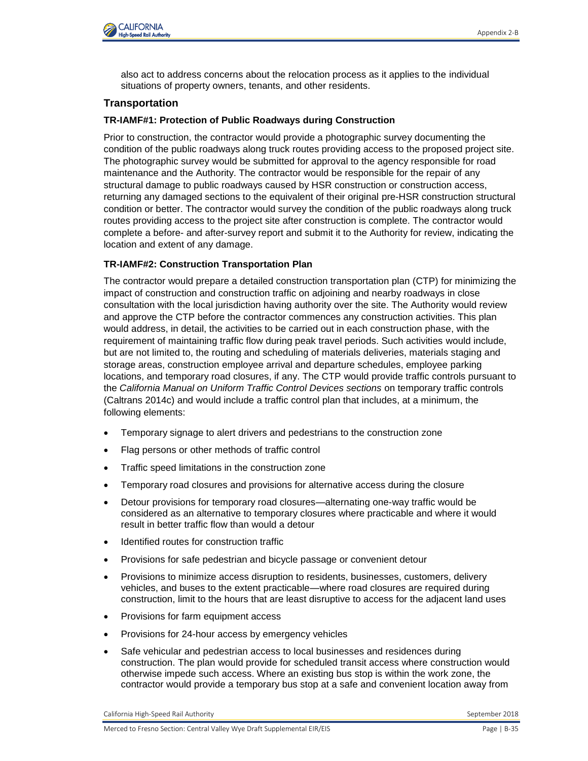

also act to address concerns about the relocation process as it applies to the individual situations of property owners, tenants, and other residents.

## **Transportation**

### **TR-IAMF#1: Protection of Public Roadways during Construction**

Prior to construction, the contractor would provide a photographic survey documenting the condition of the public roadways along truck routes providing access to the proposed project site. The photographic survey would be submitted for approval to the agency responsible for road maintenance and the Authority. The contractor would be responsible for the repair of any structural damage to public roadways caused by HSR construction or construction access, returning any damaged sections to the equivalent of their original pre-HSR construction structural condition or better. The contractor would survey the condition of the public roadways along truck routes providing access to the project site after construction is complete. The contractor would complete a before- and after-survey report and submit it to the Authority for review, indicating the location and extent of any damage.

## **TR-IAMF#2: Construction Transportation Plan**

The contractor would prepare a detailed construction transportation plan (CTP) for minimizing the impact of construction and construction traffic on adjoining and nearby roadways in close consultation with the local jurisdiction having authority over the site. The Authority would review and approve the CTP before the contractor commences any construction activities. This plan would address, in detail, the activities to be carried out in each construction phase, with the requirement of maintaining traffic flow during peak travel periods. Such activities would include, but are not limited to, the routing and scheduling of materials deliveries, materials staging and storage areas, construction employee arrival and departure schedules, employee parking locations, and temporary road closures, if any. The CTP would provide traffic controls pursuant to the *California Manual on Uniform Traffic Control Devices sections* on temporary traffic controls (Caltrans 2014c) and would include a traffic control plan that includes, at a minimum, the following elements:

- Temporary signage to alert drivers and pedestrians to the construction zone
- Flag persons or other methods of traffic control
- Traffic speed limitations in the construction zone
- Temporary road closures and provisions for alternative access during the closure
- Detour provisions for temporary road closures—alternating one-way traffic would be considered as an alternative to temporary closures where practicable and where it would result in better traffic flow than would a detour
- Identified routes for construction traffic
- Provisions for safe pedestrian and bicycle passage or convenient detour
- Provisions to minimize access disruption to residents, businesses, customers, delivery vehicles, and buses to the extent practicable—where road closures are required during construction, limit to the hours that are least disruptive to access for the adjacent land uses
- Provisions for farm equipment access
- Provisions for 24-hour access by emergency vehicles
- Safe vehicular and pedestrian access to local businesses and residences during construction. The plan would provide for scheduled transit access where construction would otherwise impede such access. Where an existing bus stop is within the work zone, the contractor would provide a temporary bus stop at a safe and convenient location away from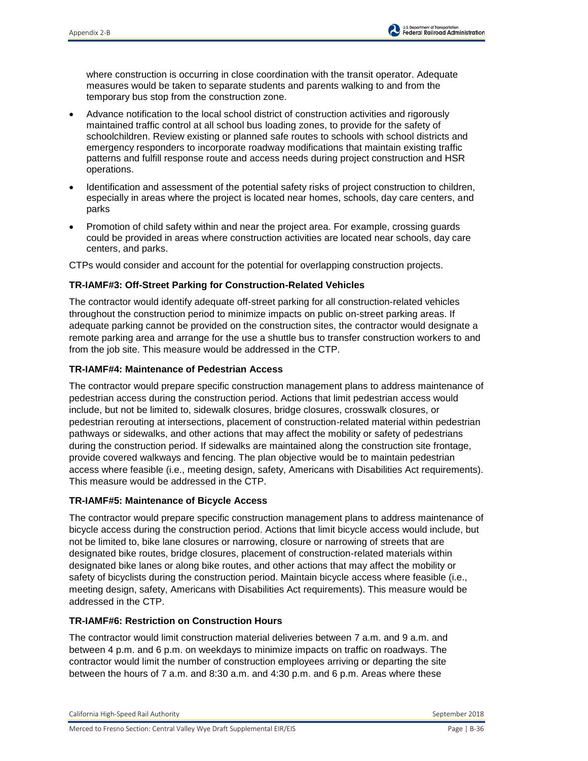where construction is occurring in close coordination with the transit operator. Adequate measures would be taken to separate students and parents walking to and from the temporary bus stop from the construction zone.

- Advance notification to the local school district of construction activities and rigorously maintained traffic control at all school bus loading zones, to provide for the safety of schoolchildren. Review existing or planned safe routes to schools with school districts and emergency responders to incorporate roadway modifications that maintain existing traffic patterns and fulfill response route and access needs during project construction and HSR operations.
- Identification and assessment of the potential safety risks of project construction to children, especially in areas where the project is located near homes, schools, day care centers, and parks
- Promotion of child safety within and near the project area. For example, crossing guards could be provided in areas where construction activities are located near schools, day care centers, and parks.

CTPs would consider and account for the potential for overlapping construction projects.

## **TR-IAMF#3: Off-Street Parking for Construction-Related Vehicles**

The contractor would identify adequate off-street parking for all construction-related vehicles throughout the construction period to minimize impacts on public on-street parking areas. If adequate parking cannot be provided on the construction sites, the contractor would designate a remote parking area and arrange for the use a shuttle bus to transfer construction workers to and from the job site. This measure would be addressed in the CTP.

## **TR-IAMF#4: Maintenance of Pedestrian Access**

The contractor would prepare specific construction management plans to address maintenance of pedestrian access during the construction period. Actions that limit pedestrian access would include, but not be limited to, sidewalk closures, bridge closures, crosswalk closures, or pedestrian rerouting at intersections, placement of construction-related material within pedestrian pathways or sidewalks, and other actions that may affect the mobility or safety of pedestrians during the construction period. If sidewalks are maintained along the construction site frontage, provide covered walkways and fencing. The plan objective would be to maintain pedestrian access where feasible (i.e., meeting design, safety, Americans with Disabilities Act requirements). This measure would be addressed in the CTP.

### **TR-IAMF#5: Maintenance of Bicycle Access**

The contractor would prepare specific construction management plans to address maintenance of bicycle access during the construction period. Actions that limit bicycle access would include, but not be limited to, bike lane closures or narrowing, closure or narrowing of streets that are designated bike routes, bridge closures, placement of construction-related materials within designated bike lanes or along bike routes, and other actions that may affect the mobility or safety of bicyclists during the construction period. Maintain bicycle access where feasible (i.e., meeting design, safety, Americans with Disabilities Act requirements). This measure would be addressed in the CTP.

### **TR-IAMF#6: Restriction on Construction Hours**

The contractor would limit construction material deliveries between 7 a.m. and 9 a.m. and between 4 p.m. and 6 p.m. on weekdays to minimize impacts on traffic on roadways. The contractor would limit the number of construction employees arriving or departing the site between the hours of 7 a.m. and 8:30 a.m. and 4:30 p.m. and 6 p.m. Areas where these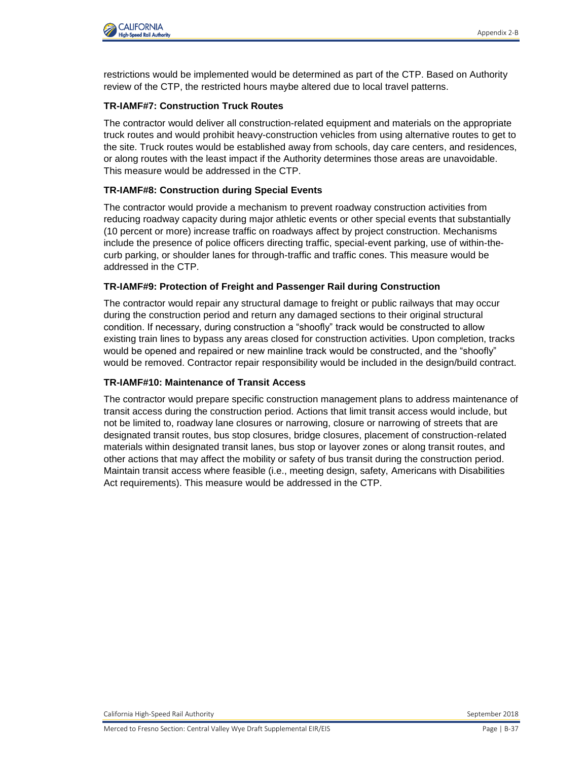restrictions would be implemented would be determined as part of the CTP. Based on Authority review of the CTP, the restricted hours maybe altered due to local travel patterns.

# **TR-IAMF#7: Construction Truck Routes**

The contractor would deliver all construction-related equipment and materials on the appropriate truck routes and would prohibit heavy-construction vehicles from using alternative routes to get to the site. Truck routes would be established away from schools, day care centers, and residences, or along routes with the least impact if the Authority determines those areas are unavoidable. This measure would be addressed in the CTP.

# **TR-IAMF#8: Construction during Special Events**

The contractor would provide a mechanism to prevent roadway construction activities from reducing roadway capacity during major athletic events or other special events that substantially (10 percent or more) increase traffic on roadways affect by project construction. Mechanisms include the presence of police officers directing traffic, special-event parking, use of within-thecurb parking, or shoulder lanes for through-traffic and traffic cones. This measure would be addressed in the CTP.

## **TR-IAMF#9: Protection of Freight and Passenger Rail during Construction**

The contractor would repair any structural damage to freight or public railways that may occur during the construction period and return any damaged sections to their original structural condition. If necessary, during construction a "shoofly" track would be constructed to allow existing train lines to bypass any areas closed for construction activities. Upon completion, tracks would be opened and repaired or new mainline track would be constructed, and the "shoofly" would be removed. Contractor repair responsibility would be included in the design/build contract.

### **TR-IAMF#10: Maintenance of Transit Access**

The contractor would prepare specific construction management plans to address maintenance of transit access during the construction period. Actions that limit transit access would include, but not be limited to, roadway lane closures or narrowing, closure or narrowing of streets that are designated transit routes, bus stop closures, bridge closures, placement of construction-related materials within designated transit lanes, bus stop or layover zones or along transit routes, and other actions that may affect the mobility or safety of bus transit during the construction period. Maintain transit access where feasible (i.e., meeting design, safety, Americans with Disabilities Act requirements). This measure would be addressed in the CTP.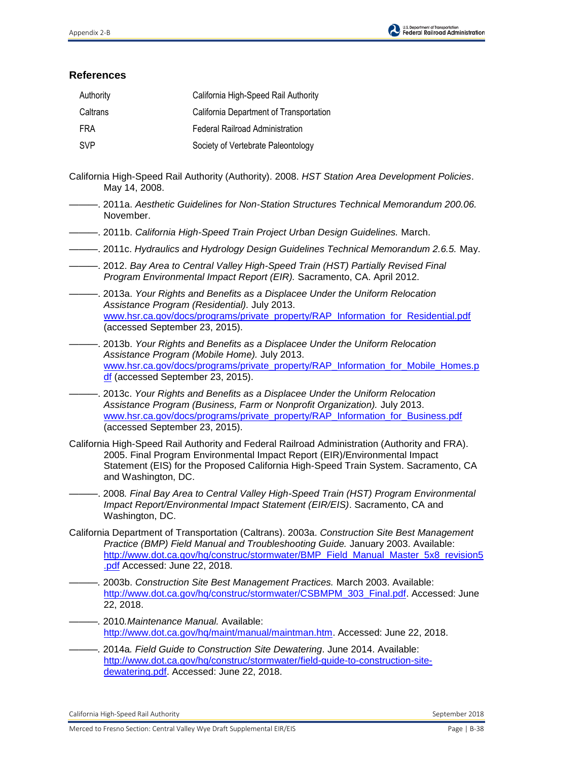

# **References**

| Authority  | California High-Speed Rail Authority    |
|------------|-----------------------------------------|
| Caltrans   | California Department of Transportation |
| FRA        | Federal Railroad Administration         |
| <b>SVP</b> | Society of Vertebrate Paleontology      |

- California High-Speed Rail Authority (Authority). 2008. *HST Station Area Development Policies*. May 14, 2008.
- ———. 2011a. *Aesthetic Guidelines for Non-Station Structures Technical Memorandum 200.06.*  November.
- ———. 2011b. *California High-Speed Train Project Urban Design Guidelines.* March.
- ———. 2011c. *Hydraulics and Hydrology Design Guidelines Technical Memorandum 2.6.5.* May.
- ———. 2012. *Bay Area to Central Valley High-Speed Train (HST) Partially Revised Final Program Environmental Impact Report (EIR).* Sacramento, CA. April 2012.
- ———. 2013a. *Your Rights and Benefits as a Displacee Under the Uniform Relocation Assistance Program (Residential).* July 2013. [www.hsr.ca.gov/docs/programs/private\\_property/RAP\\_Information\\_for\\_Residential.pdf](http://www.hsr.ca.gov/docs/programs/private_property/RAP_Information_for_Residential.pdf) (accessed September 23, 2015).
- ———. 2013b. *Your Rights and Benefits as a Displacee Under the Uniform Relocation Assistance Program (Mobile Home).* July 2013. [www.hsr.ca.gov/docs/programs/private\\_property/RAP\\_Information\\_for\\_Mobile\\_Homes.p](file://///icf-hq.icfconsulting.com/share/Business%20Ops/EE&T/E&P/P-Drive/California%20High-Speed%20Rail%20Authority/M_to_F/03_Reports/EIR-EIS/Draft/2_Alts/Apps/www.hsr.ca.gov/docs/programs/private_property/RAP_Information_for_Mobile_Homes.pdf) [df](file://///icf-hq.icfconsulting.com/share/Business%20Ops/EE&T/E&P/P-Drive/California%20High-Speed%20Rail%20Authority/M_to_F/03_Reports/EIR-EIS/Draft/2_Alts/Apps/www.hsr.ca.gov/docs/programs/private_property/RAP_Information_for_Mobile_Homes.pdf) (accessed September 23, 2015).
- ———. 2013c. *Your Rights and Benefits as a Displacee Under the Uniform Relocation Assistance Program (Business, Farm or Nonprofit Organization).* July 2013. www.hsr.ca.gov/docs/programs/private\_property/RAP\_Information\_for\_Business.pdf (accessed September 23, 2015).
- California High-Speed Rail Authority and Federal Railroad Administration (Authority and FRA). 2005. Final Program Environmental Impact Report (EIR)/Environmental Impact Statement (EIS) for the Proposed California High-Speed Train System. Sacramento, CA and Washington, DC.
- ———. 2008*. Final Bay Area to Central Valley High-Speed Train (HST) Program Environmental Impact Report/Environmental Impact Statement (EIR/EIS)*. Sacramento, CA and Washington, DC.
- California Department of Transportation (Caltrans). 2003a. *Construction Site Best Management Practice (BMP) Field Manual and Troubleshooting Guide.* January 2003. Available: [http://www.dot.ca.gov/hq/construc/stormwater/BMP\\_Field\\_Manual\\_Master\\_5x8\\_revision5](http://www.dot.ca.gov/hq/construc/stormwater/BMP_Field_Manual_Master_5x8_revision5.pdf) [.pdf](http://www.dot.ca.gov/hq/construc/stormwater/BMP_Field_Manual_Master_5x8_revision5.pdf) Accessed: June 22, 2018.
- *———.* 2003b. *Construction Site Best Management Practices.* March 2003. Available: [http://www.dot.ca.gov/hq/construc/stormwater/CSBMPM\\_303\\_Final.pdf.](http://www.dot.ca.gov/hq/construc/stormwater/CSBMPM_303_Final.pdf) Accessed: June 22, 2018.
- *———.* 2010*.Maintenance Manual.* Available: [http://www.dot.ca.gov/hq/maint/manual/maintman.htm.](http://www.dot.ca.gov/hq/maint/manual/maintman.htm) Accessed: June 22, 2018.
- *———.* 2014a*. Field Guide to Construction Site Dewatering*. June 2014. Available: [http://www.dot.ca.gov/hq/construc/stormwater/field-guide-to-construction-site](http://www.dot.ca.gov/hq/construc/stormwater/field-guide-to-construction-site-dewatering.pdf)[dewatering.pdf.](http://www.dot.ca.gov/hq/construc/stormwater/field-guide-to-construction-site-dewatering.pdf) Accessed: June 22, 2018.